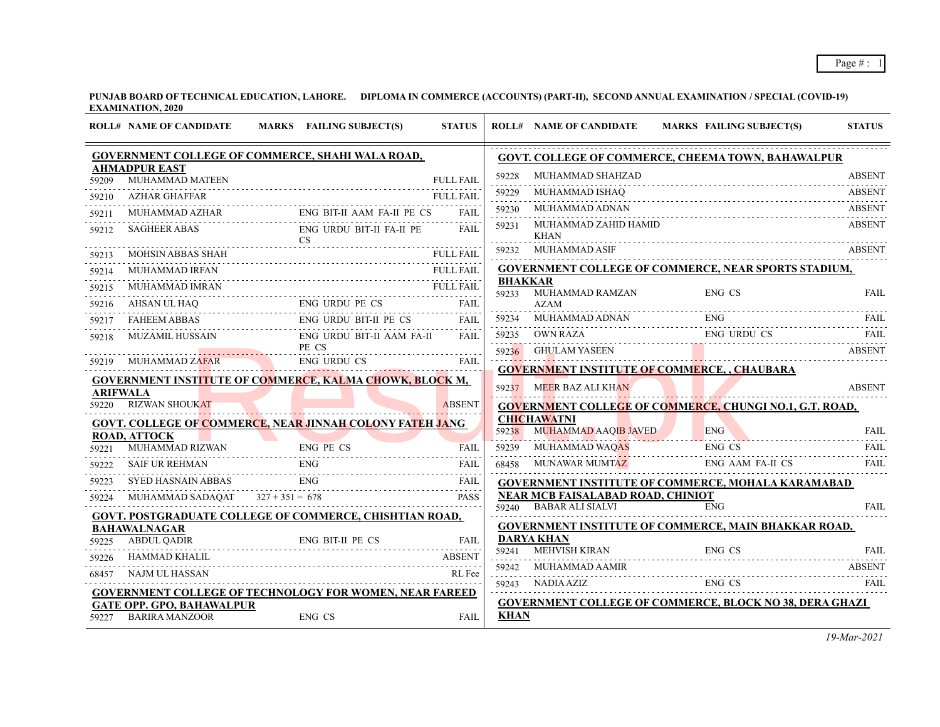**PUNJAB BOARD OF TECHNICAL EDUCATION, LAHORE. DIPLOMA IN COMMERCE (ACCOUNTS) (PART-II), SECOND ANNUAL EXAMINATION / SPECIAL (COVID-19) EXAMINATION, 2020**

|                 | <b>ROLL# NAME OF CANDIDATE</b>                                                                                                                                                                                                 | MARKS FAILING SUBJECT(S)              | <b>STATUS</b>    |                | <b>ROLL# NAME OF CANDIDATE</b>                              | MARKS FAILING SUBJECT(S)                                                                                                               | <b>STATUS</b> |
|-----------------|--------------------------------------------------------------------------------------------------------------------------------------------------------------------------------------------------------------------------------|---------------------------------------|------------------|----------------|-------------------------------------------------------------|----------------------------------------------------------------------------------------------------------------------------------------|---------------|
|                 | GOVERNMENT COLLEGE OF COMMERCE, SHAHI WALA ROAD,                                                                                                                                                                               |                                       |                  |                |                                                             | <b>GOVT. COLLEGE OF COMMERCE, CHEEMA TOWN, BAHAWALPUR</b>                                                                              |               |
| 59209           | <b>AHMADPUR EAST</b><br>MUHAMMAD MATEEN                                                                                                                                                                                        |                                       | <b>FULL FAIL</b> | 59228          | MUHAMMAD SHAHZAD                                            |                                                                                                                                        | <b>ABSENT</b> |
| 59210           | AZHAR GHAFFAR                                                                                                                                                                                                                  |                                       | <b>FULL FAIL</b> | 59229          | MUHAMMAD ISHAQ                                              |                                                                                                                                        | <b>ABSENT</b> |
| 59211           |                                                                                                                                                                                                                                |                                       | <b>FAIL</b>      | 59230          | MUHAMMAD ADNAN                                              |                                                                                                                                        | <b>ABSENT</b> |
| 59212           | SAGHEER ABAS ENG URDU BIT-II FA-II PE                                                                                                                                                                                          |                                       | <b>FAIL</b>      | 59231          | MUHAMMAD ZAHID HAMID<br><b>KHAN</b>                         |                                                                                                                                        | <b>ABSENT</b> |
| 59213           | $\text{CS}$                                                                                                                                                                                                                    |                                       | <b>FULL FAIL</b> |                | 59232 MUHAMMAD ASIF                                         |                                                                                                                                        |               |
| 59214           | MUHAMMAD IRFAN                                                                                                                                                                                                                 | MOHSIN ABBAS SHAH FULL FAI            |                  |                |                                                             | <b>GOVERNMENT COLLEGE OF COMMERCE, NEAR SPORTS STADIUM,</b>                                                                            |               |
| 59215           | MUHAMMAD IMRAN                                                                                                                                                                                                                 | HAMMAD IRFAN FULL FAIL FULL FAIL FAIL |                  | <b>BHAKKAR</b> |                                                             |                                                                                                                                        |               |
| 59216           | AHSAN UL HAQ ENG URDU PE CS FAIL PRIME TO THE PRIME OF THE PRIME OF THE PRIME OF THE PRIME OF THE PRIME OF THE PRIME OF THE PRIME OF THE PRIME OF THE PRIME OF THE PRIME OF THE PRIME OF THE PRIME OF THE PRIME OF THE PRIME O |                                       |                  |                | 59233 MUHAMMAD RAMZAN<br><b>AZAM</b>                        | ENG CS                                                                                                                                 | <b>FAIL</b>   |
| 59217           | FAHEEM ABBAS                                                                                                                                                                                                                   | ENG URDU BIT-II PE CS FAIL            |                  |                |                                                             | $\begin{array}{cc}\n 59234 & \text{MUHAMMAD ADNAN} \\  \text{ENG} & \text{FAIL} \\  \text{1011} & \text{MUHAMMAD ADNAN}\n \end{array}$ |               |
| 59218           |                                                                                                                                                                                                                                | ENG URDU BIT-II AAM FA-II             | FAII.            |                |                                                             | 59235 OWN RAZA ENG URDU CS FAIL                                                                                                        |               |
|                 | MUZAMIL HUSSAIN<br>F                                                                                                                                                                                                           | PE CS                                 |                  |                |                                                             | 59236 GHULAM YASEEN ABSENT                                                                                                             | <b>ABSENT</b> |
| 59219           | MUHAMMAD ZAFAR ENG URDU CS                                                                                                                                                                                                     |                                       | FAIL             |                |                                                             | <b>GOVERNMENT INSTITUTE OF COMMERCE, , CHAUBARA</b>                                                                                    |               |
| <b>ARIFWALA</b> | <b>GOVERNMENT INSTITUTE OF COMMERCE, KALMA CHOWK, BLOCK M,</b>                                                                                                                                                                 |                                       |                  |                | 59237 MEER BAZ ALI KHAN                                     |                                                                                                                                        | <b>ABSENT</b> |
|                 | 59220 RIZWAN SHOUKAT                                                                                                                                                                                                           |                                       | <b>ABSENT</b>    |                |                                                             | GOVERNMENT COLLEGE OF COMMERCE, CHUNGI NO.1, G.T. ROAD,                                                                                |               |
|                 | <b>GOVT. COLLEGE OF COMMERCE, NEAR JINNAH COLONY FATEH JANG</b>                                                                                                                                                                |                                       |                  |                | <b>CHICHAWATNI</b>                                          |                                                                                                                                        |               |
|                 | <b>ROAD, ATTOCK</b>                                                                                                                                                                                                            |                                       |                  |                |                                                             | 59238 MUHAMMAD AAQIB JAVED ENG FAIL FAIL                                                                                               |               |
| 59221           | MUHAMMAD RIZWAN                                                                                                                                                                                                                | ENG PE CS<br>ZWAN ENG PE CS FAIL      | <b>FAIL</b>      |                |                                                             | 59239 MUHAMMAD WAQAS ENG CS FAIL                                                                                                       |               |
| 59222           |                                                                                                                                                                                                                                | SAIF UR REHMAN ENG FAIL               |                  |                |                                                             | 68458 MUNAWAR MUMTAZ ENG AAM FA-II CS                                                                                                  | - FAIL        |
| 59223           | SYED HASNAIN ABBAS ENG                                                                                                                                                                                                         |                                       | FAIL             |                |                                                             | <b>GOVERNMENT INSTITUTE OF COMMERCE, MOHALA KARAMABAD</b>                                                                              |               |
| 59224           | MUHAMMAD SADAQAT $327 + 351 = 678$                                                                                                                                                                                             |                                       | <b>PASS</b>      |                | NEAR MCB FAISALABAD ROAD, CHINIOT<br>59240 BABAR ALI SIALVI | <b>ENG</b>                                                                                                                             | <b>FAIL</b>   |
|                 | GOVT. POSTGRADUATE COLLEGE OF COMMERCE, CHISHTIAN ROAD,                                                                                                                                                                        |                                       |                  |                |                                                             | GOVERNMENT INSTITUTE OF COMMERCE, MAIN BHAKKAR ROAD,                                                                                   |               |
| 59225           | <b>BAHAWALNAGAR</b><br><b>ABDUL QADIR</b>                                                                                                                                                                                      |                                       |                  |                | <b>DARYA KHAN</b>                                           |                                                                                                                                        |               |
| 59226           | <b>HAMMAD KHALIL</b>                                                                                                                                                                                                           | ENG BIT-II PE CS FAIL                 | <b>ABSENT</b>    |                | 59241 MEHVISH KIRAN                                         | AN ENG CS FAIL                                                                                                                         |               |
| 68457           | NAJM UL HASSAN                                                                                                                                                                                                                 |                                       | RL Fee           |                |                                                             |                                                                                                                                        |               |
|                 |                                                                                                                                                                                                                                |                                       |                  |                |                                                             |                                                                                                                                        |               |
|                 | <b>GOVERNMENT COLLEGE OF TECHNOLOGY FOR WOMEN, NEAR FAREED</b><br><b>GATE OPP. GPO, BAHAWALPUR</b>                                                                                                                             |                                       |                  |                |                                                             | <b>GOVERNMENT COLLEGE OF COMMERCE, BLOCK NO 38, DERA GHAZI</b>                                                                         |               |
|                 | 59227 BARIRA MANZOOR                                                                                                                                                                                                           | ENG CS                                | FAIL             | <b>KHAN</b>    |                                                             |                                                                                                                                        |               |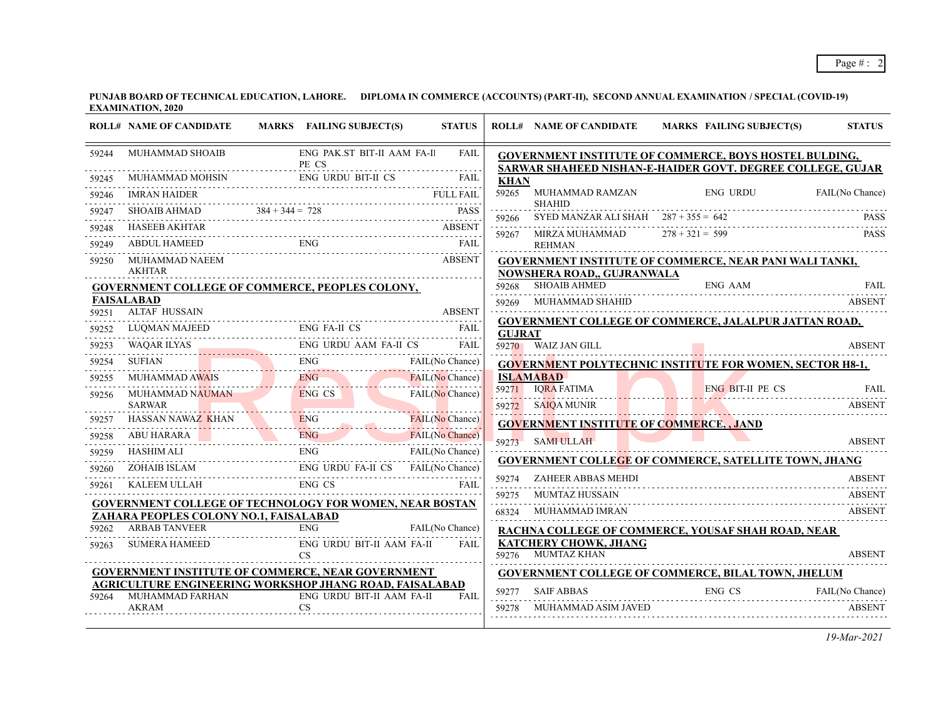|       | <b>ROLL# NAME OF CANDIDATE</b>            | MARKS FAILING SUBJECT(S)                                                                                                                                                                                                                                                                                                                                                                                                                                                                     | <b>STATUS</b>       |               |                                                | ROLL# NAME OF CANDIDATE MARKS FAILING SUBJECT(S)                                                                     | <b>STATUS</b>   |
|-------|-------------------------------------------|----------------------------------------------------------------------------------------------------------------------------------------------------------------------------------------------------------------------------------------------------------------------------------------------------------------------------------------------------------------------------------------------------------------------------------------------------------------------------------------------|---------------------|---------------|------------------------------------------------|----------------------------------------------------------------------------------------------------------------------|-----------------|
| 59244 | PE CS                                     | MUHAMMAD SHOAIB ENG PAK.ST BIT-II AAM FA-I                                                                                                                                                                                                                                                                                                                                                                                                                                                   | FAIL                |               |                                                | GOVERNMENT INSTITUTE OF COMMERCE, BOYS HOSTEL BULDING,<br>SARWAR SHAHEED NISHAN-E-HAIDER GOVT. DEGREE COLLEGE, GUJAR |                 |
|       |                                           |                                                                                                                                                                                                                                                                                                                                                                                                                                                                                              |                     | <b>KHAN</b>   |                                                |                                                                                                                      |                 |
| 59246 |                                           |                                                                                                                                                                                                                                                                                                                                                                                                                                                                                              |                     | 59265         |                                                | MUHAMMAD RAMZAN ENG URDU                                                                                             | FAIL(No Chance) |
| 59247 |                                           |                                                                                                                                                                                                                                                                                                                                                                                                                                                                                              |                     |               | <b>SHAHID</b>                                  |                                                                                                                      |                 |
| 59248 |                                           |                                                                                                                                                                                                                                                                                                                                                                                                                                                                                              |                     |               | 59267 MIRZA MUHAMMAD $278 + 321 = 599$         | 59266 SYED MANZAR ALI SHAH 287 + 355 = 642 PASS                                                                      | <b>PASS</b>     |
| 59249 |                                           | $\begin{tabular}{ll} \bf{HASEB AKHTAR} & \bf{ABSENT} \\ \bf{ABDUL HAMED} & \bf{EMG} \\ \bf{FAIL} \\ \end{tabular}$                                                                                                                                                                                                                                                                                                                                                                           |                     |               | <b>REHMAN</b>                                  |                                                                                                                      |                 |
| 59250 | MUHAMMAD NAEEM                            |                                                                                                                                                                                                                                                                                                                                                                                                                                                                                              |                     |               |                                                | GOVERNMENT INSTITUTE OF COMMERCE, NEAR PANI WALI TANKI,                                                              |                 |
|       | <b>AKHTAR</b>                             |                                                                                                                                                                                                                                                                                                                                                                                                                                                                                              |                     |               | NOWSHERA ROAD,, GUJRANWALA                     |                                                                                                                      |                 |
|       |                                           | <b>GOVERNMENT COLLEGE OF COMMERCE, PEOPLES COLONY,</b>                                                                                                                                                                                                                                                                                                                                                                                                                                       |                     |               | 59268 SHOAIB AHMED                             | ENG AAM                                                                                                              | <b>FAIL</b>     |
| 59251 | <b>FAISALABAD</b><br><b>ALTAF HUSSAIN</b> |                                                                                                                                                                                                                                                                                                                                                                                                                                                                                              | ABSENT              | 59269         |                                                | MUHAMMAD SHAHID NA MARABARA SHAIRIN NA MARABARA NA MARABARA NA MARABARA NA MARABARA NA MARABARA NA MARABARA NA       | <b>ABSENT</b>   |
| 59252 |                                           | ALTAF HUSSAIN ABSENT<br>$\begin{tabular}{lllllllll} \textbf{LUQMAN MAJEED} & \textbf{ENG FA-II CS} & \textbf{FAIL} \\ \hline \end{tabular}$                                                                                                                                                                                                                                                                                                                                                  |                     |               |                                                | <b>GOVERNMENT COLLEGE OF COMMERCE, JALALPUR JATTAN ROAD,</b>                                                         |                 |
| 59253 |                                           | 0253 WAQAR ILYAS ENG URDU AAM FA-II CS FAIL                                                                                                                                                                                                                                                                                                                                                                                                                                                  | FAIL                | <b>GUJRAT</b> | 59270 WAIZ JAN GILL                            |                                                                                                                      | <b>ABSENT</b>   |
| 59254 | <b>SUFIAN</b>                             | SUFIAN ENG FAIL(No Chance)                                                                                                                                                                                                                                                                                                                                                                                                                                                                   |                     |               |                                                | <b>GOVERNMENT POLYTECHNIC INSTITUTE FOR WOMEN, SECTOR H8-1,</b>                                                      |                 |
| 59255 |                                           |                                                                                                                                                                                                                                                                                                                                                                                                                                                                                              |                     |               | <b>ISLAMABAD</b>                               |                                                                                                                      |                 |
| 59256 |                                           | ENG CS                                                                                                                                                                                                                                                                                                                                                                                                                                                                                       | FAIL(No Chance)     |               |                                                | 59271 IQRA FATIMA ENG BIT-II PE CS FAIL                                                                              |                 |
|       |                                           | MUHAMMAD NAUMAN ENG CS<br>SARWAR MARINDRO NAUMAN DE CONTRA CONTRA CONTRA CONTRA CONTRA CONTRA CONTRA CONTRA CONTRA CONTRA CONTRA CONTRA                                                                                                                                                                                                                                                                                                                                                      |                     |               |                                                | 59272 SAIQA MUNIR ABSENT                                                                                             |                 |
| 59257 |                                           | HASSAN NAWAZ KHAN ENG FAIL (No Chance)                                                                                                                                                                                                                                                                                                                                                                                                                                                       | FAIL(No Chance)     |               | <b>GOVERNMENT INSTITUTE OF COMMERCE,, JAND</b> |                                                                                                                      |                 |
| 59258 |                                           | ABU HARARA ENG FAIL(No Chance)                                                                                                                                                                                                                                                                                                                                                                                                                                                               |                     |               | 59273 SAMI ULLAH                               |                                                                                                                      | <b>ABSENT</b>   |
| 59259 |                                           | $\begin{tabular}{lcl} HASHIM ALI & & & \multicolumn{2}{c}{EMG} & & \multicolumn{2}{c}{FAIL(No Change)} \\ \hline ZOHAIB ISLAM & & & \multicolumn{2}{c}{ENG} & & \multicolumn{2}{c}{FAIL(No Change)} \\ \multicolumn{2}{c}{XALEEM ULLAH} & & & \multicolumn{2}{c}{ENG} & & \multicolumn{2}{c}{FAIL(No Change)} \\ \multicolumn{2}{c}{KALEEM ULLAH} & & & \multicolumn{2}{c}{ENG} & & \multicolumn{2}{c}{FAIL(No Change)} \\ \multicolumn{2}{c}{KALEEM ULLAH} & & & \multicolumn{2}{c}{ENG} &$ |                     |               |                                                | <b>GOVERNMENT COLLEGE OF COMMERCE, SATELLITE TOWN, JHANG</b>                                                         |                 |
| 59260 |                                           |                                                                                                                                                                                                                                                                                                                                                                                                                                                                                              |                     |               | 59274 ZAHEER ABBAS MEHDI                       |                                                                                                                      | <b>ABSENT</b>   |
| 59261 |                                           |                                                                                                                                                                                                                                                                                                                                                                                                                                                                                              |                     | 59275         | MUMTAZ HUSSAIN                                 |                                                                                                                      |                 |
|       |                                           | <b>GOVERNMENT COLLEGE OF TECHNOLOGY FOR WOMEN, NEAR BOSTAN</b>                                                                                                                                                                                                                                                                                                                                                                                                                               |                     |               | 68324 MUHAMMAD IMRAN                           |                                                                                                                      | ABSENT          |
|       | ZAHARA PEOPLES COLONY NO.1, FAISALABAD    |                                                                                                                                                                                                                                                                                                                                                                                                                                                                                              |                     |               |                                                |                                                                                                                      |                 |
|       | 59262 ARBAB TANVEER                       |                                                                                                                                                                                                                                                                                                                                                                                                                                                                                              | ENG FAIL(No Chance) |               | KATCHERY CHOWK, JHANG                          | <b>RACHNA COLLEGE OF COMMERCE, YOUSAF SHAH ROAD, NEAR</b>                                                            |                 |
| 59263 | <b>SUMERA HAMEED</b>                      | ENG URDU BIT-II AAM FA-II<br>CS<br>$\overline{\text{CS}}$                                                                                                                                                                                                                                                                                                                                                                                                                                    | FAII.               |               | 59276 MUMTAZ KHAN                              |                                                                                                                      |                 |
|       |                                           | <b>GOVERNMENT INSTITUTE OF COMMERCE, NEAR GOVERNMENT</b>                                                                                                                                                                                                                                                                                                                                                                                                                                     |                     |               |                                                | GOVERNMENT COLLEGE OF COMMERCE, BILAL TOWN, JHELUM                                                                   |                 |
|       |                                           | AGRICULTURE ENGINEERING WORKSHOP JHANG ROAD, FAISALABAD                                                                                                                                                                                                                                                                                                                                                                                                                                      |                     |               | 59277 SAIF ABBAS                               |                                                                                                                      |                 |
| 59264 | AKRAM                                     | MUHAMMAD FARHAN ENG URDU BIT-II AAM FA-II<br><b>CS</b>                                                                                                                                                                                                                                                                                                                                                                                                                                       | FAIL                | 59278         | MUHAMMAD ASIM JAVED                            | ENG CS FAIL(No Chance)                                                                                               | <b>ABSENT</b>   |
|       |                                           |                                                                                                                                                                                                                                                                                                                                                                                                                                                                                              |                     |               |                                                |                                                                                                                      |                 |
|       |                                           |                                                                                                                                                                                                                                                                                                                                                                                                                                                                                              |                     |               |                                                |                                                                                                                      |                 |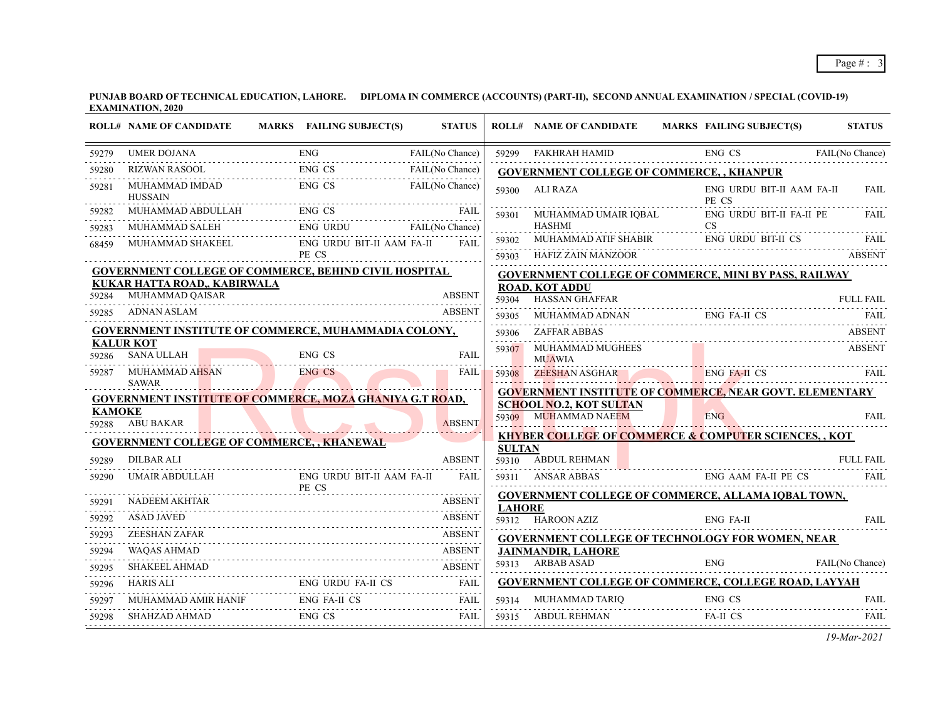**PUNJAB BOARD OF TECHNICAL EDUCATION, LAHORE. DIPLOMA IN COMMERCE (ACCOUNTS) (PART-II), SECOND ANNUAL EXAMINATION / SPECIAL (COVID-19) EXAMINATION, 2020**

|               | <b>ROLL# NAME OF CANDIDATE</b>                                                                                       | MARKS FAILING SUBJECT(S)           | <b>STATUS</b>   |               | <b>ROLL# NAME OF CANDIDATE</b>                         | MARKS FAILING SUBJECT(S)                                                                                          | <b>STATUS</b>    |
|---------------|----------------------------------------------------------------------------------------------------------------------|------------------------------------|-----------------|---------------|--------------------------------------------------------|-------------------------------------------------------------------------------------------------------------------|------------------|
| 59279         | UMER DOJANA ENG F                                                                                                    |                                    | FAIL(No Chance) |               | 59299 FAKHRAH HAMID<br>59299 FAKHRAH HAMID ENG CS      | ENG CS FAIL(No Chance)                                                                                            |                  |
| 59280         | RIZWAN RASOOL ENG CS FAIL(No Chance)<br>MUHAMMAD IMDAD ENG CS FAIL(No Chance)                                        |                                    |                 |               | <b>GOVERNMENT COLLEGE OF COMMERCE,, KHANPUR</b>        |                                                                                                                   |                  |
| 59281         | <b>HUSSAIN</b>                                                                                                       |                                    |                 |               | 59300 ALI RAZA                                         | ENG URDU BIT-II AAM FA-II<br>PE CS                                                                                | FAIL             |
| 59282         | MUHAMMAD ABDULLAH ENG CS FAIL NUHAMMAD SALEH ENG URDU FAIL(No Chance)                                                |                                    |                 | 59301         | MUHAMMAD UMAIR IQBAL                                   | ENG URDU BIT-II FA-II PE                                                                                          | <b>FAIL</b>      |
| 59283         |                                                                                                                      |                                    |                 |               | <b>HASHMI</b>                                          | <b>CS</b>                                                                                                         |                  |
| 68459         | MUHAMMAD SHAKEEL                                                                                                     | ENG URDU BIT-II AAM FA-II<br>PE CS | <b>FAIL</b>     | 59302         |                                                        | 59303 HAFIZ ZAIN MANZOOR ABSENT                                                                                   |                  |
|               | GOVERNMENT COLLEGE OF COMMERCE, BEHIND CIVIL HOSPITAL                                                                |                                    |                 |               |                                                        | <b>GOVERNMENT COLLEGE OF COMMERCE, MINI BY PASS, RAILWAY</b>                                                      |                  |
| 59284         | KUKAR HATTA ROAD,, KABIRWALA<br>MUHAMMAD QAISAR                                                                      |                                    | <b>ABSENT</b>   | 59304         | <b>ROAD, KOT ADDU</b><br><b>HASSAN GHAFFAR</b>         |                                                                                                                   | <b>FULL FAIL</b> |
|               | 59285 ADNAN ASLAM                                                                                                    |                                    | <b>ABSENT</b>   | 59305         |                                                        | $\begin{tabular}{lllllllllll} \bf{MUHAMMAD}\ &\bf{ENG}\ &\bf{FA-II}\ &\bf{CS} &\bf{FAIL} \\ \hline \end{tabular}$ |                  |
|               | <b>GOVERNMENT INSTITUTE OF COMMERCE, MUHAMMADIA COLONY,</b>                                                          |                                    |                 |               | 59306 ZAFFAR ABBAS                                     |                                                                                                                   | ABSENT           |
|               | <b>KALUR KOT</b><br>59286 SANA ULLAH                                                                                 | ENG CS                             | <b>FAIL</b>     | 59307         | MUHAMMAD MUGHEES<br><b>MUAWIA</b>                      |                                                                                                                   | <b>ABSENT</b>    |
| 59287         | MUHAMMAD AHSAN<br><b>SAWAR</b>                                                                                       | ENG CS                             | <b>FAIL</b>     |               |                                                        | 59308 ZEESHAN ASGHAR ENG FA-H CS FAIL                                                                             |                  |
|               | <b>GOVERNMENT INSTITUTE OF COMMERCE, MOZA GHANIYA G.T ROAD,</b>                                                      |                                    |                 |               |                                                        | GOVERNMENT INSTITUTE OF COMMERCE, NEAR GOVT. ELEMENTARY                                                           |                  |
| <b>KAMOKE</b> | 59288 ABU BAKAR                                                                                                      |                                    | <b>ABSENT</b>   |               | <b>SCHOOL NO.2, KOT SULTAN</b><br>59309 MUHAMMAD NAEEM | ENG                                                                                                               | <b>FAIL</b>      |
|               | <b>GOVERNMENT COLLEGE OF COMMERCE,, KHANEWAL</b>                                                                     |                                    |                 |               |                                                        | <b>KHYBER COLLEGE OF COMMERCE &amp; COMPUTER SCIENCES,, KOT</b>                                                   |                  |
| 59289         | <b>DILBAR ALI</b>                                                                                                    |                                    | <b>ABSENT</b>   | <b>SULTAN</b> | 59310 ABDUL REHMAN                                     |                                                                                                                   | <b>FULL FAIL</b> |
| 59290         | UMAIR ABDULLAH ENG URDU BIT-II AAM FA-II                                                                             |                                    | <b>FAIL</b>     |               |                                                        | ABDUL KEHMAN FULL FAIL<br>59311 ANSAR ABBAS ENG AAM FA-II PE CS                                                   | <b>FAIL</b>      |
| 59291         | <b>NADEEM AKHTAR</b>                                                                                                 |                                    | <b>ABSENT</b>   |               |                                                        | <b>GOVERNMENT COLLEGE OF COMMERCE, ALLAMA IQBAL TOWN,</b>                                                         |                  |
| 59292         | <b>ASAD JAVED</b>                                                                                                    |                                    | <b>ABSENT</b>   | <b>LAHORE</b> | 59312 HAROON AZIZ                                      | <b>ENG FA-II</b>                                                                                                  | FAII.            |
| 59293         | ZEESHAN ZAFAR                                                                                                        |                                    | <b>ABSENT</b>   |               |                                                        | <b>GOVERNMENT COLLEGE OF TECHNOLOGY FOR WOMEN, NEAR</b>                                                           |                  |
| 59294         | WAOAS AHMAD                                                                                                          |                                    |                 |               | <b>JAINMANDIR, LAHORE</b>                              |                                                                                                                   |                  |
| 59295         | <b>SHAKEEL AHMAD</b><br>SHAKEEL AHMAD ABSENT                                                                         |                                    |                 |               | 59313 ARBAB ASAD                                       | ENG<br>FAIL(No Chance)                                                                                            |                  |
| 59296         | $\begin{tabular}{lllllllllll} \bf{HARS \,ALI} & \bf{ENG \, URDU \, FA-II \, CS} & \bf{FAIL} \\ \hline \end{tabular}$ |                                    |                 |               |                                                        | <b>GOVERNMENT COLLEGE OF COMMERCE, COLLEGE ROAD, LAYYAH</b>                                                       |                  |
| 59297         |                                                                                                                      |                                    | FAIL            | 59314         |                                                        | MUHAMMAD TARIQ ENG CS                                                                                             | <b>FAIL</b>      |
| 59298         | SHAHZAD AHMAD                                                                                                        | ENG CS                             | FAIL            | 59315         | ABDUL REHMAN                                           | FA-II CS                                                                                                          | FAIL.            |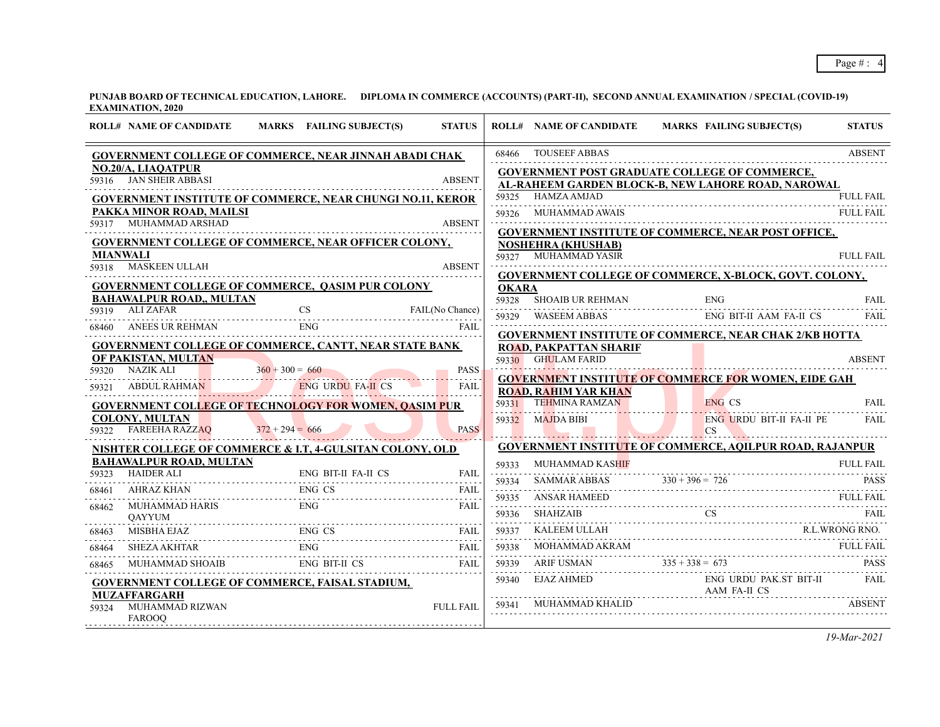|                          | <b>ROLL# NAME OF CANDIDATE</b>                                                                                      |                   | MARKS FAILING SUBJECT(S)               | <b>STATUS</b>    |              | <b>ROLL# NAME OF CANDIDATE</b> | MARKS FAILING SUBJECT(S)                                        | <b>STATUS</b>    |
|--------------------------|---------------------------------------------------------------------------------------------------------------------|-------------------|----------------------------------------|------------------|--------------|--------------------------------|-----------------------------------------------------------------|------------------|
|                          | GOVERNMENT COLLEGE OF COMMERCE, NEAR JINNAH ABADI CHAK                                                              |                   |                                        |                  | 68466        | <b>TOUSEEF ABBAS</b>           |                                                                 | <b>ABSENT</b>    |
|                          | NO.20/A, LIAQATPUR                                                                                                  |                   |                                        |                  |              |                                | <b>GOVERNMENT POST GRADUATE COLLEGE OF COMMERCE,</b>            |                  |
|                          | 59316 JAN SHEIR ABBASI                                                                                              |                   |                                        | <b>ABSENT</b>    |              |                                | AL-RAHEEM GARDEN BLOCK-B, NEW LAHORE ROAD, NAROWAL              |                  |
|                          | <b>GOVERNMENT INSTITUTE OF COMMERCE, NEAR CHUNGI NO.11, KEROR</b>                                                   |                   |                                        |                  |              | 59325 HAMZA AMJAD              |                                                                 | <b>FULL FAIL</b> |
|                          | PAKKA MINOR ROAD, MAILSI<br>59317 MUHAMMAD ARSHAD                                                                   |                   |                                        | <b>ABSENT</b>    |              |                                |                                                                 | <b>FULL FAIL</b> |
|                          |                                                                                                                     |                   |                                        |                  |              |                                | <b>GOVERNMENT INSTITUTE OF COMMERCE, NEAR POST OFFICE,</b>      |                  |
|                          | <b>GOVERNMENT COLLEGE OF COMMERCE, NEAR OFFICER COLONY,</b>                                                         |                   |                                        |                  |              | <b>NOSHEHRA (KHUSHAB)</b>      |                                                                 |                  |
| <b>MIANWALI</b><br>59318 | <b>MASKEEN ULLAH</b>                                                                                                |                   |                                        | <b>ABSENT</b>    |              | 59327 MUHAMMAD YASIR           |                                                                 | <b>FULL FAIL</b> |
|                          |                                                                                                                     |                   |                                        | dia a dia a dia  |              |                                | <b>GOVERNMENT COLLEGE OF COMMERCE, X-BLOCK, GOVT. COLONY,</b>   |                  |
|                          | <b>GOVERNMENT COLLEGE OF COMMERCE, QASIM PUR COLONY</b><br><b>BAHAWALPUR ROAD,, MULTAN</b>                          |                   |                                        |                  | <b>OKARA</b> |                                |                                                                 |                  |
|                          | $59319$ ALIZAFAR                                                                                                    |                   | $\overline{\text{CS}}$ FAIL(No Chance) |                  |              | 59328 SHOAIB UR REHMAN         | <b>ENG</b>                                                      | <b>FAIL</b>      |
|                          |                                                                                                                     |                   |                                        |                  |              |                                | 59329 WASEEM ABBAS ENG BIT-II AAM FA-II CS                      | <b>FAIL</b>      |
|                          | 68460 ANEES UR REHMAN ENG FAIL FAIL                                                                                 |                   |                                        |                  |              |                                | <b>GOVERNMENT INSTITUTE OF COMMERCE, NEAR CHAK 2/KB HOTTA</b>   |                  |
|                          | <b>GOVERNMENT COLLEGE OF COMMERCE, CANTT, NEAR STATE BANK</b><br>OF PAKISTAN, MULTAN                                |                   |                                        |                  |              | <b>ROAD, PAKPATTAN SHARIF</b>  |                                                                 |                  |
|                          | 59320 NAZIK ALI $360 + 300 = 660$ PASS                                                                              |                   |                                        |                  |              | 59330 GHULAM FARID             |                                                                 | <b>ABSENT</b>    |
|                          | 59321 ABDUL RAHMAN ENG URDU FA-II CS                                                                                |                   |                                        | FAII.            |              |                                | <b>GOVERNMENT INSTITUTE OF COMMERCE FOR WOMEN, EIDE GAH</b>     |                  |
|                          |                                                                                                                     |                   |                                        |                  |              | <b>ROAD, RAHIM YAR KHAN</b>    |                                                                 | FAII.            |
|                          | <b>GOVERNMENT COLLEGE OF TECHNOLOGY FOR WOMEN, OASIM PUR</b><br><b>COLONY, MULTAN</b>                               |                   |                                        |                  |              | $59332$ MAJDA BIBI             | ENG CS                                                          |                  |
|                          | 59322 FAREEHA RAZZAQ                                                                                                | $372 + 294 = 666$ |                                        | <b>PASS</b>      |              |                                | BI ENG URDU BIT-II FA-II PE FAIL                                |                  |
|                          | NISHTER COLLEGE OF COMMERCE & I.T, 4-GULSITAN COLONY, OLD                                                           |                   |                                        |                  |              |                                | <b>GOVERNMENT INSTITUTE OF COMMERCE, AQILPUR ROAD, RAJANPUR</b> |                  |
|                          | <b>BAHAWALPUR ROAD, MULTAN</b>                                                                                      |                   |                                        |                  |              | 59333 MUHAMMAD KASHIF          |                                                                 | FULL FAIL        |
|                          | ENG BIT-II FA-II CS<br>59323 HAIDER ALI ENG BIT-II FA-II CS FAIL                                                    |                   |                                        |                  | 59334        |                                |                                                                 |                  |
|                          | 68461 AHRAZ KHAN ENG CS FAIL                                                                                        |                   |                                        |                  |              |                                | SAMMAR ABBAS $330 + 396 = 726$ PASS                             |                  |
|                          | 68462 MUHAMMAD HARIS                                                                                                | ENG-              |                                        | <b>FAIL</b>      |              |                                |                                                                 |                  |
|                          | <b>OAYYUM</b>                                                                                                       |                   |                                        |                  | 59336        | SHAHZAIB                       | SHAHZAIB CS FAIL                                                |                  |
|                          | 68463 MISBHA EJAZ ENG CS FAIL                                                                                       |                   |                                        |                  | 59337<br>.   |                                | KALEEM ULLAH R.L.WRONG RNO.                                     |                  |
|                          | 68464 SHEZA AKHTAR                                                                                                  |                   | R FAIL ENG FAIL                        |                  | 59338        |                                | MOHAMMAD AKRAM FULL FAIL                                        | <b>FULL FAIL</b> |
| 68465                    | $\begin{tabular}{lllllllllll} \bf{M}UHAMMAD SHOAIB & \bf{ENG} BIT-II & \bf{CS} & \bf{FAIL} \\ \hline \end{tabular}$ |                   |                                        | FAIL             |              |                                | $59339$ ARIF USMAN $335 + 338 = 673$ PASS                       |                  |
|                          | <b>GOVERNMENT COLLEGE OF COMMERCE, FAISAL STADIUM,</b>                                                              |                   |                                        |                  |              | 59340 EJAZ AHMED               | ENG URDU PAK.ST BIT-II                                          | FAIL             |
|                          | <b>MUZAFFARGARH</b><br>MUHAMMAD RIZWAN                                                                              |                   |                                        |                  |              | 59341 MUHAMMAD KHALID          | .<br>AAM FA-II CS                                               |                  |
| 59324                    | <b>FAROOO</b>                                                                                                       |                   |                                        | <b>FULL FAIL</b> |              |                                |                                                                 |                  |
|                          |                                                                                                                     |                   |                                        |                  |              |                                |                                                                 |                  |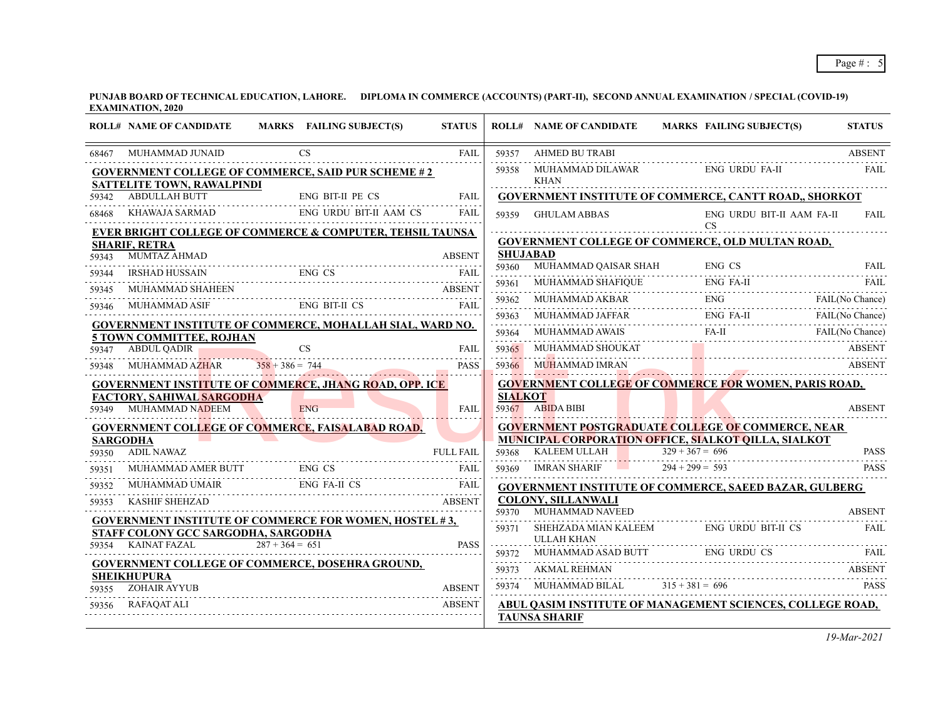|       | <b>ROLL# NAME OF CANDIDATE</b>                                                                    |                   | MARKS FAILING SUBJECT(S) | <b>STATUS</b>              |                          | <b>ROLL# NAME OF CANDIDATE</b>                                                                                                                                                                                                                                                                                                                                                                  |                   | <b>MARKS FAILING SUBJECT(S)</b> | <b>STATUS</b>   |
|-------|---------------------------------------------------------------------------------------------------|-------------------|--------------------------|----------------------------|--------------------------|-------------------------------------------------------------------------------------------------------------------------------------------------------------------------------------------------------------------------------------------------------------------------------------------------------------------------------------------------------------------------------------------------|-------------------|---------------------------------|-----------------|
| 68467 | MUHAMMAD JUNAID                                                                                   |                   | <b>CS</b>                | <b>FAIL</b>                | 59357                    | <b>AHMED BU TRABI</b>                                                                                                                                                                                                                                                                                                                                                                           |                   |                                 | <b>ABSENT</b>   |
|       | <b>GOVERNMENT COLLEGE OF COMMERCE, SAID PUR SCHEME #2</b><br>SATTELITE TOWN, RAWALPINDI           |                   |                          |                            | 59358                    | MUHAMMAD DILAWAR<br><b>KHAN</b>                                                                                                                                                                                                                                                                                                                                                                 |                   | <b>ENG URDU FA-II</b>           | <b>FAIL</b>     |
| 59342 | <b>ABDULLAH BUTT</b>                                                                              |                   | <b>ENG BIT-II PE CS</b>  | FAIL                       |                          | <b>GOVERNMENT INSTITUTE OF COMMERCE, CANTT ROAD,, SHORKOT</b>                                                                                                                                                                                                                                                                                                                                   |                   |                                 |                 |
| 68468 | KHAWAJA SARMAD                                                                                    |                   | ENG URDU BIT-II AAM CS   | <b>FAIL</b>                | 59359                    | <b>GHULAM ABBAS</b>                                                                                                                                                                                                                                                                                                                                                                             |                   | ENG URDU BIT-II AAM FA-II       | <b>FAIL</b>     |
|       | <b>EVER BRIGHT COLLEGE OF COMMERCE &amp; COMPUTER, TEHSIL TAUNSA</b>                              |                   |                          |                            |                          |                                                                                                                                                                                                                                                                                                                                                                                                 |                   | CS                              |                 |
|       | <b>SHARIF, RETRA</b>                                                                              |                   |                          |                            |                          | GOVERNMENT COLLEGE OF COMMERCE, OLD MULTAN ROAD,                                                                                                                                                                                                                                                                                                                                                |                   |                                 |                 |
| 59343 | <b>MUMTAZ AHMAD</b>                                                                               |                   |                          | <b>ABSENT</b>              | <b>SHUJABAD</b><br>59360 | MUHAMMAD QAISAR SHAH                                                                                                                                                                                                                                                                                                                                                                            |                   | ENG CS                          | FAII.           |
| 59344 | IRSHAD HUSSAIN                                                                                    |                   | AD HUSSAIN ENG CS FAIL   |                            |                          |                                                                                                                                                                                                                                                                                                                                                                                                 |                   |                                 |                 |
| 59345 | MUHAMMAD SHAHEEN                                                                                  |                   |                          | <b>ABSENT</b>              | 59362                    | 59361 MUHAMMAD SHAFIQUE ENG FA-II FAIL FAIL                                                                                                                                                                                                                                                                                                                                                     |                   |                                 | FAIL(No Chance) |
| 59346 | MUHAMMAD ASIF                                                                                     |                   | ENG BIT-II CS            | <b>FAIL</b>                | 59363                    |                                                                                                                                                                                                                                                                                                                                                                                                 |                   |                                 |                 |
|       | <b>GOVERNMENT INSTITUTE OF COMMERCE, MOHALLAH SIAL, WARD NO.</b>                                  |                   |                          |                            | 59364                    | $\begin{tabular}{lcl} \multicolumn{2}{c}{MUHAMMAD JAFFAR} & \multicolumn{2}{c}{ENG FA-II} & \multicolumn{2}{c}{FAII} & \multicolumn{2}{c}{FAIL} (No Chance) \\ \multicolumn{2}{c}{MUHAMMAD AWAIS} & \multicolumn{2}{c}{FA-II} & \multicolumn{2}{c}{FAIL} (No Chance) \\ \multicolumn{2}{c}{MUHAMMAD AWAIS} & \multicolumn{2}{c}{FA-II} & \multicolumn{2}{c}{FAIL} (No Chance) \\ \end{tabular}$ |                   |                                 |                 |
|       | <b>5 TOWN COMMITTEE, ROJHAN</b>                                                                   |                   |                          |                            |                          | MUHAMMAD SHOUKAT                                                                                                                                                                                                                                                                                                                                                                                |                   |                                 | <b>ABSENT</b>   |
| 59347 | <b>ABDUL QADIR</b><br>MUHAMMAD AZHAR                                                              | $358 + 386 = 744$ | <b>CS</b>                | <b>FAIL</b><br><b>PASS</b> | 59365                    | 59366 MUHAMMAD IMRAN                                                                                                                                                                                                                                                                                                                                                                            |                   |                                 |                 |
| 59348 |                                                                                                   |                   |                          |                            |                          |                                                                                                                                                                                                                                                                                                                                                                                                 |                   | AMMAD IMRAN ABSENT              |                 |
|       | <b>GOVERNMENT INSTITUTE OF COMMERCE, JHANG ROAD, OPP. ICE</b><br><b>FACTORY, SAHIWAL SARGODHA</b> |                   |                          |                            | <b>SIALKOT</b>           | <b>GOVERNMENT COLLEGE OF COMMERCE FOR WOMEN, PARIS ROAD,</b>                                                                                                                                                                                                                                                                                                                                    |                   |                                 |                 |
| 59349 | MUHAMMAD NADEEM                                                                                   |                   | <b>ENG</b>               | <b>FAIL</b>                |                          | 59367 ABIDA BIBI                                                                                                                                                                                                                                                                                                                                                                                |                   |                                 | <b>ABSENT</b>   |
|       | <b>GOVERNMENT COLLEGE OF COMMERCE, FAISALABAD ROAD,</b>                                           |                   |                          |                            |                          | <b>GOVERNMENT POSTGRADUATE COLLEGE OF COMMERCE, NEAR</b>                                                                                                                                                                                                                                                                                                                                        |                   |                                 |                 |
|       | <b>SARGODHA</b>                                                                                   |                   |                          |                            |                          | MUNICIPAL CORPORATION OFFICE, SIALKOT QILLA, SIALKOT                                                                                                                                                                                                                                                                                                                                            |                   |                                 |                 |
| 59350 | ADIL NAWAZ                                                                                        |                   |                          | <b>FULL FAIL</b>           | 59368                    | KALEEM ULLAH                                                                                                                                                                                                                                                                                                                                                                                    | $329 + 367 = 696$ |                                 | <b>PASS</b>     |
| 59351 | MUHAMMAD AMER BUTT ENG CS FAIL                                                                    |                   |                          |                            | 59369                    | <b>IMRAN SHARIF</b>                                                                                                                                                                                                                                                                                                                                                                             | $294 + 299 = 593$ |                                 | <b>PASS</b>     |
| 59352 |                                                                                                   |                   |                          | <b>FAIL</b>                |                          | <b>GOVERNMENT INSTITUTE OF COMMERCE, SAEED BAZAR, GULBERG</b>                                                                                                                                                                                                                                                                                                                                   |                   |                                 |                 |
| 59353 | <b>KASHIF SHEHZAD</b>                                                                             |                   |                          | <b>ABSENT</b>              | 59370                    | <b>COLONY, SILLANWALI</b><br>MUHAMMAD NAVEED                                                                                                                                                                                                                                                                                                                                                    |                   |                                 | <b>ABSENT</b>   |
|       | <b>GOVERNMENT INSTITUTE OF COMMERCE FOR WOMEN, HOSTEL #3,</b>                                     |                   |                          |                            | 59371                    | SHEHZADA MIAN KALEEM                                                                                                                                                                                                                                                                                                                                                                            |                   | ENG URDU BIT-II CS              | <b>FAIL</b>     |
| 59354 | STAFF COLONY GCC SARGODHA, SARGODHA<br><b>KAINAT FAZAL</b>                                        | $287 + 364 = 651$ |                          | <b>PASS</b>                |                          | <b>ULLAH KHAN</b>                                                                                                                                                                                                                                                                                                                                                                               |                   |                                 |                 |
|       |                                                                                                   |                   |                          |                            | 59372                    | MUHAMMAD ASAD BUTT ENG URDU CS                                                                                                                                                                                                                                                                                                                                                                  |                   | ENG URDU CS                     | FAIL.           |
|       | <b>GOVERNMENT COLLEGE OF COMMERCE, DOSEHRA GROUND,</b><br><b>SHEIKHUPURA</b>                      |                   |                          |                            | 59373                    | AKMAL REHMAN                                                                                                                                                                                                                                                                                                                                                                                    |                   |                                 | <b>ABSENT</b>   |
| 59355 | ZOHAIR AYYUB                                                                                      |                   |                          | <b>ABSENT</b>              | 59374                    | MUHAMMAD BILAL $315 + 381 = 696$                                                                                                                                                                                                                                                                                                                                                                |                   |                                 | <b>PASS</b>     |
| 59356 | <b>RAFAOAT ALI</b>                                                                                |                   |                          | <b>ABSENT</b>              |                          | <b>ABUL QASIM INSTITUTE OF MANAGEMENT SCIENCES, COLLEGE ROAD,</b>                                                                                                                                                                                                                                                                                                                               |                   |                                 |                 |
|       |                                                                                                   |                   |                          |                            |                          | <b>TAUNSA SHARIF</b>                                                                                                                                                                                                                                                                                                                                                                            |                   |                                 |                 |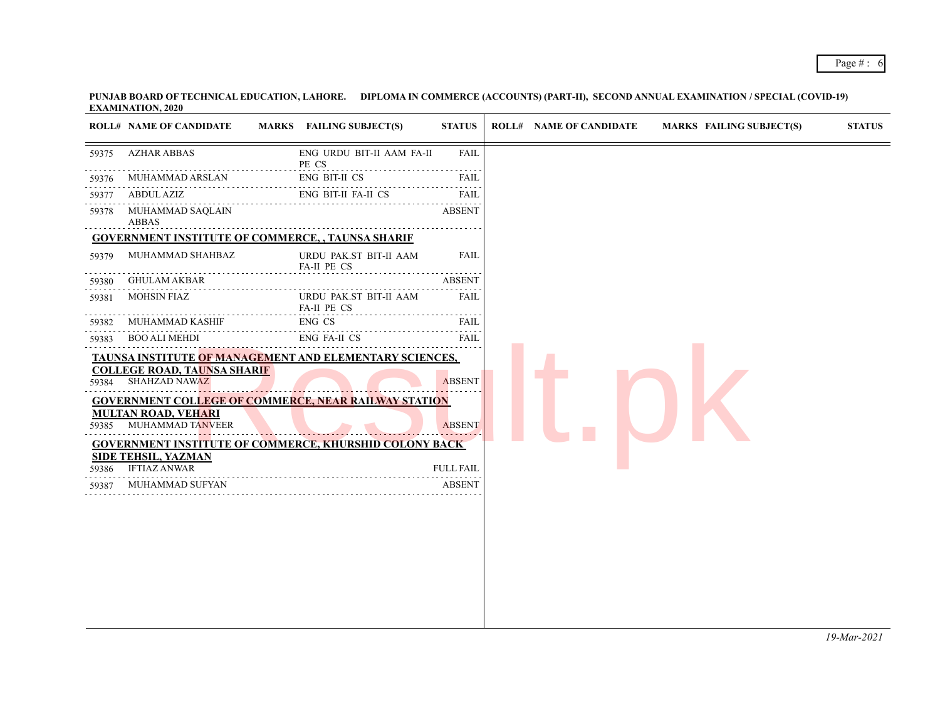|       | <b>ROLL# NAME OF CANDIDATE</b>                                                                                                                                                                                                                                                                                      | MARKS FAILING SUBJECT(S)              | <b>STATUS</b>                       | <b>ROLL# NAME OF CANDIDATE</b> | <b>MARKS FAILING SUBJECT(S)</b> |  |
|-------|---------------------------------------------------------------------------------------------------------------------------------------------------------------------------------------------------------------------------------------------------------------------------------------------------------------------|---------------------------------------|-------------------------------------|--------------------------------|---------------------------------|--|
| 59375 | <b>AZHAR ABBAS</b>                                                                                                                                                                                                                                                                                                  | ENG URDU BIT-II AAM FA-II<br>PE CS    | <b>FAIL</b>                         |                                |                                 |  |
| 59376 | MUHAMMAD ARSLAN                                                                                                                                                                                                                                                                                                     | <b>ENG BIT-II CS</b>                  | FAIL                                |                                |                                 |  |
| 59377 | ABDUL AZIZ                                                                                                                                                                                                                                                                                                          | ENG BIT-II FA-II CS                   | .<br>FAIL                           |                                |                                 |  |
| 59378 | MUHAMMAD SAQLAIN<br><b>ABBAS</b>                                                                                                                                                                                                                                                                                    |                                       | <b>ABSENT</b>                       |                                |                                 |  |
|       | <b>GOVERNMENT INSTITUTE OF COMMERCE, , TAUNSA SHARIF</b>                                                                                                                                                                                                                                                            |                                       |                                     |                                |                                 |  |
| 59379 | MUHAMMAD SHAHBAZ                                                                                                                                                                                                                                                                                                    | URDU PAK.ST BIT-II AAM<br>FA-II PE CS | FAIL                                |                                |                                 |  |
| 59380 | <b>GHULAM AKBAR</b>                                                                                                                                                                                                                                                                                                 |                                       | <b>ABSENT</b>                       |                                |                                 |  |
| 59381 | <b>MOHSIN FIAZ</b>                                                                                                                                                                                                                                                                                                  | URDU PAK.ST BIT-II AAM<br>FA-II PE CS | FAIL                                |                                |                                 |  |
| 59382 | MUHAMMAD KASHIF                                                                                                                                                                                                                                                                                                     | ENG CS                                | FAIL<br>$\sim$ $\sim$ $\sim$ $\sim$ |                                |                                 |  |
| 59383 | <b>BOO ALI MEHDI</b>                                                                                                                                                                                                                                                                                                | ENG FA-II CS                          | FAIL                                |                                |                                 |  |
|       | <b>TAUNSA INSTITUTE OF MANAGEMENT AND ELEMENTARY SCIENCES,</b><br><b>COLLEGE ROAD, TAUNSA SHARIF</b><br>59384 SHAHZAD NAWAZ<br><b>GOVERNMENT COLLEGE OF COMMERCE, NEAR RAILWAY STATION</b><br><b>MULTAN ROAD, VEHARI</b><br>59385 MUHAMMAD TANVEER<br><b>GOVERNMENT INSTITUTE OF COMMERCE, KHURSHID COLONY BACK</b> |                                       | <b>ABSENT</b><br><b>ABSENT</b>      |                                |                                 |  |
| 59386 | <b>SIDE TEHSIL, YAZMAN</b><br><b>IFTIAZ ANWAR</b>                                                                                                                                                                                                                                                                   |                                       | <b>FULL FAIL</b>                    |                                |                                 |  |
| 59387 | MUHAMMAD SUFYAN                                                                                                                                                                                                                                                                                                     |                                       | <b>ABSENT</b>                       |                                |                                 |  |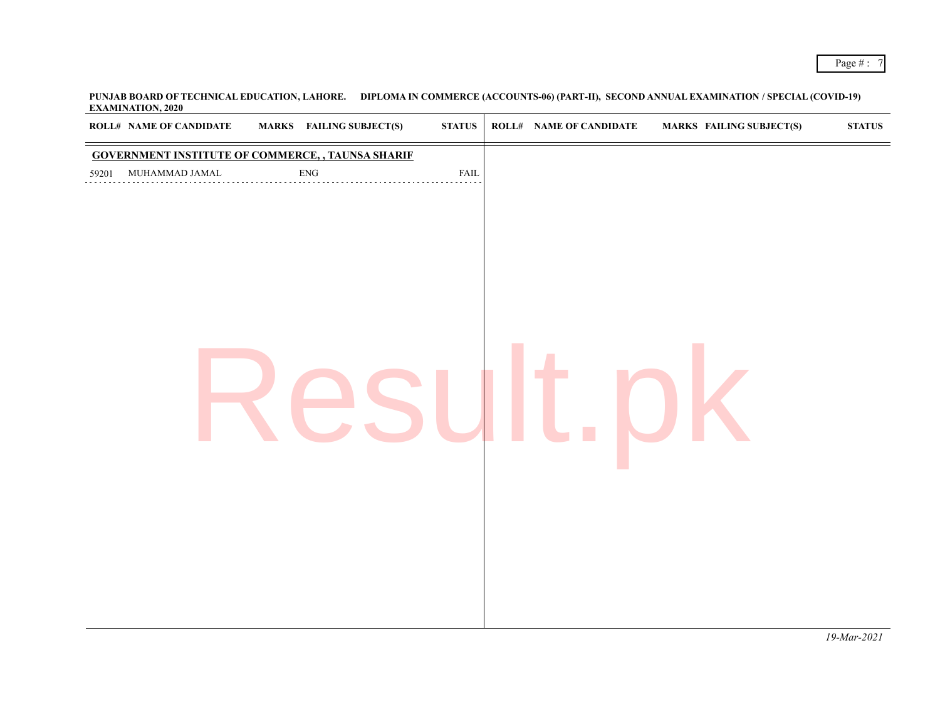|       | <b>ROLL# NAME OF CANDIDATE</b> | <b>MARKS</b> FAILING SUBJECT(S)                          | $\boldsymbol{\mathrm{STATUS}}$ | <b>ROLL# NAME OF CANDIDATE</b> | <b>MARKS FAILING SUBJECT(S)</b> | $\boldsymbol{\text{STATUS}}$ |
|-------|--------------------------------|----------------------------------------------------------|--------------------------------|--------------------------------|---------------------------------|------------------------------|
|       |                                | <b>GOVERNMENT INSTITUTE OF COMMERCE, , TAUNSA SHARIF</b> |                                |                                |                                 |                              |
| 59201 | MUHAMMAD JAMAL                 | ${\rm ENG}$                                              | FAIL                           |                                |                                 |                              |
|       |                                |                                                          |                                |                                |                                 |                              |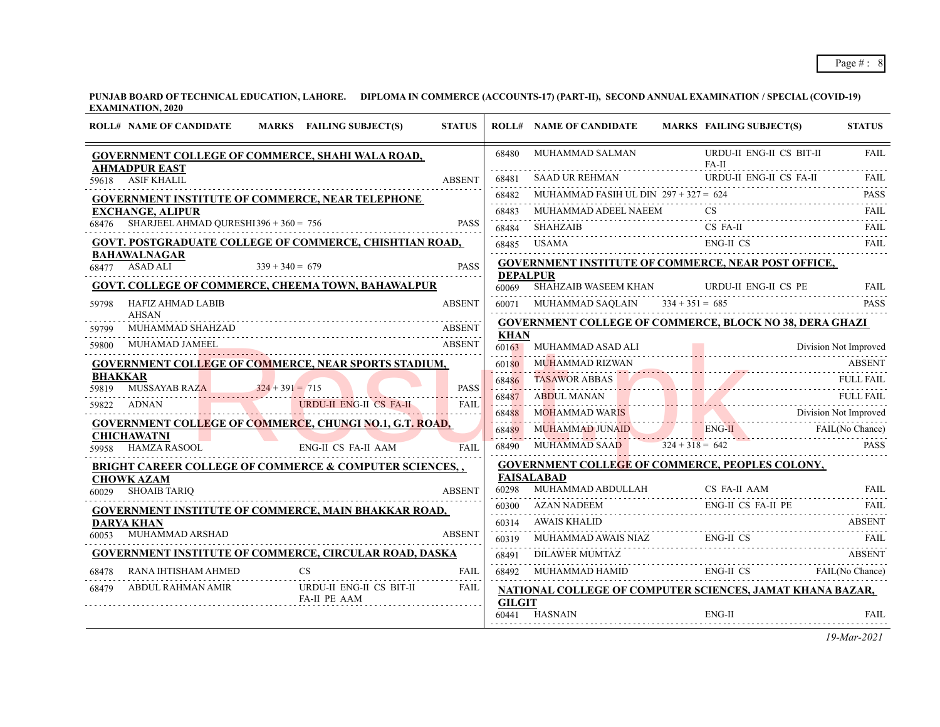**PUNJAB BOARD OF TECHNICAL EDUCATION, LAHORE. DIPLOMA IN COMMERCE (ACCOUNTS-17) (PART-II), SECOND ANNUAL EXAMINATION / SPECIAL (COVID-19) EXAMINATION, 2020**

|                | <b>ROLL# NAME OF CANDIDATE</b>                 |                   | MARKS FAILING SUBJECT(S)                                           | <b>STATUS</b> |                 | <b>ROLL# NAME OF CANDIDATE</b>                                 | <b>MARKS FAILING SUBJECT(S)</b>     | <b>STATUS</b>         |
|----------------|------------------------------------------------|-------------------|--------------------------------------------------------------------|---------------|-----------------|----------------------------------------------------------------|-------------------------------------|-----------------------|
|                | <b>AHMADPUR EAST</b>                           |                   | <b>GOVERNMENT COLLEGE OF COMMERCE, SHAHI WALA ROAD,</b>            |               | 68480           | MUHAMMAD SALMAN                                                | URDU-II ENG-II CS BIT-II<br>$FA-II$ | <b>FAIL</b>           |
| 59618          | <b>ASIF KHALIL</b>                             |                   |                                                                    | <b>ABSENT</b> | 68481           |                                                                | URDU-II ENG-II CS FA-II             | <b>FAIL</b>           |
|                |                                                |                   | <b>GOVERNMENT INSTITUTE OF COMMERCE, NEAR TELEPHONE</b>            |               | 68482           | MUHAMMAD FASIH UL DIN $297 + 327 = 624$                        |                                     | <b>PASS</b>           |
|                | <b>EXCHANGE, ALIPUR</b>                        |                   |                                                                    |               | .<br>68483      | MUHAMMAD ADEEL NAEEM                                           |                                     | .<br>FAII.            |
|                | $68476$ SHARJEEL AHMAD QURESHI 396 + 360 = 756 |                   |                                                                    | <b>PASS</b>   | 68484           | <b>SHAHZAIB</b>                                                | CS FA-II                            | <b>FAIL</b>           |
|                |                                                |                   | <b>GOVT. POSTGRADUATE COLLEGE OF COMMERCE, CHISHTIAN ROAD,</b>     |               | 68485           | <b>USAMA</b>                                                   | ENG-II CS                           | FAII.                 |
|                | <b>BAHAWALNAGAR</b><br>68477 ASAD ALI          | $339 + 340 = 679$ |                                                                    | <b>PASS</b>   | <b>DEPALPUR</b> | <b>GOVERNMENT INSTITUTE OF COMMERCE, NEAR POST OFFICE,</b>     |                                     |                       |
|                |                                                |                   | <b>GOVT. COLLEGE OF COMMERCE, CHEEMA TOWN, BAHAWALPUR</b>          |               | 60069           | <b>SHAHZAIB WASEEM KHAN</b>                                    | URDU-II ENG-II CS PE                | <b>FAIL</b>           |
| 59798          | <b>HAFIZ AHMAD LABIB</b>                       |                   |                                                                    | <b>ABSENT</b> |                 | 60071 MUHAMMAD SAQLAIN $334 + 351 = 685$                       |                                     | <b>PASS</b>           |
|                | <b>AHSAN</b>                                   |                   |                                                                    |               |                 | <b>GOVERNMENT COLLEGE OF COMMERCE, BLOCK NO 38, DERA GHAZI</b> |                                     |                       |
| 59799          | MUHAMMAD SHAHZAD<br>MUHAMAD JAMEEL             |                   |                                                                    | <b>ABSENT</b> | <b>KHAN</b>     |                                                                |                                     |                       |
| 59800          |                                                |                   |                                                                    | <b>ABSENT</b> | 60163           | MUHAMMAD ASAD ALI                                              |                                     | Division Not Improved |
| <b>BHAKKAR</b> |                                                |                   | <b>GOVERNMENT COLLEGE OF COMMERCE, NEAR SPORTS STADIUM,</b>        |               | 60180           | MUHAMMAD RIZWAN                                                |                                     | ABSENT                |
| 59819          | MUSSAYAB RAZA                                  | $324 + 391 = 715$ |                                                                    | <b>PASS</b>   | 68486           | TASAWOR ABBAS FULL FAIL                                        |                                     |                       |
|                | 59822 ADNAN                                    |                   | URDU-II ENG-II CS FA-II                                            | <b>FAIL</b>   | 68487           | ABDUL MANAN                                                    | DUL MANAN FULL FAIL                 | <b>FULL FAIL</b>      |
|                |                                                |                   | <b>GOVERNMENT COLLEGE OF COMMERCE, CHUNGI NO.1, G.T. ROAD,</b>     |               | 68488           | MOHAMMAD WARIS Division Not Improved                           |                                     |                       |
|                | <b>CHICHAWATNI</b>                             |                   |                                                                    |               | 68489           | MUHAMMAD JUNAID ENG-II FAIL (No Chance)                        |                                     |                       |
|                | 59958 HAMZA RASOOL                             |                   | <b>ENG-II CS FA-II AAM</b>                                         | FAIL          | 68490           | MUHAMMAD SAAD                                                  | $324 + 318 = 642$                   | <b>PASS</b>           |
|                |                                                |                   | <b>BRIGHT CAREER COLLEGE OF COMMERCE &amp; COMPUTER SCIENCES,,</b> |               |                 | <b>GOVERNMENT COLLEGE OF COMMERCE, PEOPLES COLONY,</b>         |                                     |                       |
|                | <b>CHOWK AZAM</b><br>60029 SHOAIB TARIQ        |                   |                                                                    | <b>ABSENT</b> |                 | <b>FAISALABAD</b><br>60298 MUHAMMAD ABDULLAH CS FA-II          | CS FA-II AAM                        | FAIL                  |
|                |                                                |                   | <b>GOVERNMENT INSTITUTE OF COMMERCE, MAIN BHAKKAR ROAD,</b>        |               |                 | 60300 AZAN NADEEM                                              | ENG-II CS FA-II PE                  | FAIL                  |
|                | <b>DARYA KHAN</b>                              |                   |                                                                    |               | 60314           | AWAIS KHALID                                                   |                                     | <b>ABSENT</b>         |
| 60053          | MUHAMMAD ARSHAD                                |                   |                                                                    | <b>ABSENT</b> | 60319           | MUHAMMAD AWAIS NIAZ ENG-II CS FAIL                             |                                     |                       |
|                |                                                |                   | <b>GOVERNMENT INSTITUTE OF COMMERCE, CIRCULAR ROAD, DASKA</b>      |               | 68491<br>.      | DILAWER MUMTAZ                                                 |                                     | <b>ABSENT</b>         |
| 68478          | RANA IHTISHAM AHMED                            |                   | CS.                                                                | <b>FAIL</b>   | 68492           | MUHAMMAD HAMID<br>MUHAMMAD HAMID ENG-II CS FAIL(No Chance)     |                                     |                       |
| 68479          | ABDUL RAHMAN AMIR                              |                   | URDU-II ENG-II CS BIT-II                                           | <b>FAIL</b>   |                 | NATIONAL COLLEGE OF COMPUTER SCIENCES, JAMAT KHANA BAZAR,      |                                     |                       |
|                |                                                |                   | FA-II PE AAM                                                       |               | <b>GILGIT</b>   | 60441 HASNAIN                                                  | $ENG-II$                            | FAIL                  |
|                |                                                |                   |                                                                    |               |                 |                                                                |                                     |                       |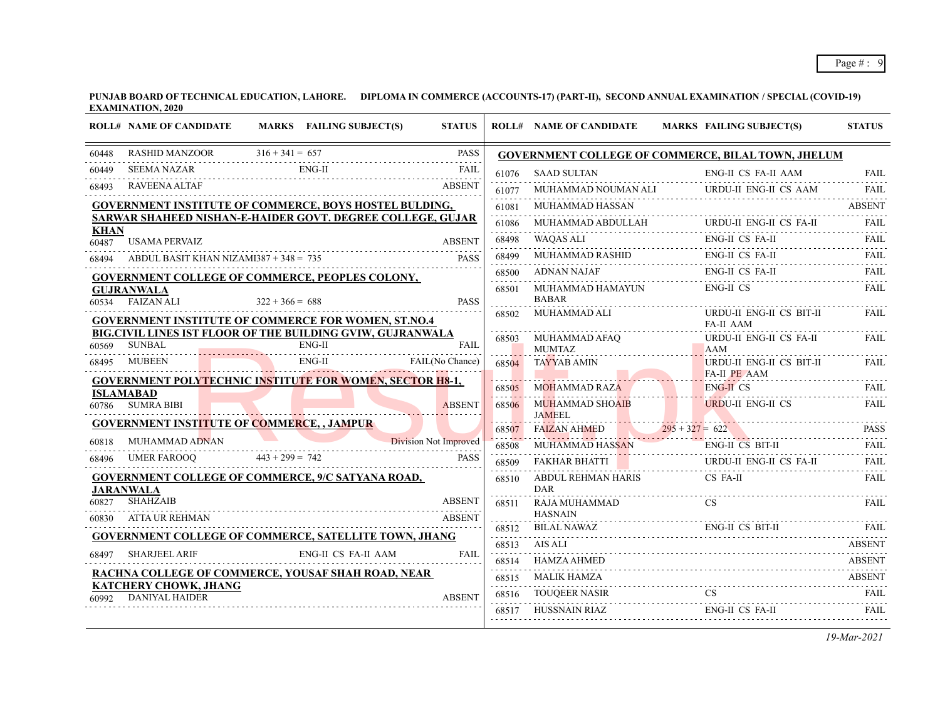| MARKS FAILING SUBJECT(S)<br><b>ROLL# NAME OF CANDIDATE</b>                                | <b>STATUS</b> |       | <b>ROLL# NAME OF CANDIDATE</b>         | <b>MARKS FAILING SUBJECT(S)</b>                                                                                      | <b>STATUS</b> |
|-------------------------------------------------------------------------------------------|---------------|-------|----------------------------------------|----------------------------------------------------------------------------------------------------------------------|---------------|
| 60448 RASHID MANZOOR $316 + 341 = 657$ PASS<br>60448                                      | <b>PASS</b>   |       |                                        | GOVERNMENT COLLEGE OF COMMERCE, BILAL TOWN, JHELUM                                                                   |               |
| $ENG-II$<br>SEEMA NAZAR<br>60449                                                          | FAIL          | 61076 | <b>SAAD SULTAN</b>                     | <b>ENG-II CS FA-II AAM</b>                                                                                           | <b>FAIL</b>   |
| <b>RAVEENA ALTAF</b><br>68493                                                             | <b>ABSENT</b> | 61077 |                                        | MUHAMMAD NOUMAN ALI URDU-II ENG-II CS AAM FAIL                                                                       |               |
| <b>GOVERNMENT INSTITUTE OF COMMERCE, BOYS HOSTEL BULDING,</b>                             |               | 61081 | MUHAMMAD HASSAN                        |                                                                                                                      | <b>ABSENT</b> |
| SARWAR SHAHEED NISHAN-E-HAIDER GOVT. DEGREE COLLEGE, GUJAR                                |               |       |                                        | $\underbrace{61086}\quad\text{MUHAMMAD ABDULLAH}\qquad\qquad \text{URDU-II ENG-II CS FA-II}\qquad\qquad \text{FAIL}$ |               |
| <b>KHAN</b><br><b>USAMA PERVAIZ</b><br>60487                                              | <b>ABSENT</b> | 68498 | WAQAS ALI                              | ENG-II CS FA-II                                                                                                      | FAII.         |
| ABDUL BASIT KHAN NIZAMI387 + 348 = $735$<br>68494                                         | <b>PASS</b>   | 68499 | MUHAMMAD RASHID                        | ENG-II CS FA-II                                                                                                      | <b>FAIL</b>   |
| <b>GOVERNMENT COLLEGE OF COMMERCE, PEOPLES COLONY,</b>                                    |               |       | 68500 ADNAN NAJAF                      | ENG-II CS FA-II                                                                                                      |               |
| <b>GUJRANWALA</b><br><b>FAIZAN ALI</b><br>60534<br>$322 + 366 = 688$                      | <b>PASS</b>   | 68501 | MUHAMMAD HAMAYUN<br><b>BABAR</b>       | ENG-II CS                                                                                                            | FAIL          |
| <b>GOVERNMENT INSTITUTE OF COMMERCE FOR WOMEN, ST.NO.4</b>                                |               |       | 68502 MUHAMMAD ALI                     | URDU-II ENG-II CS BIT-II<br><b>FA-II AAM</b>                                                                         | FAIL          |
| BIG.CIVIL LINES IST FLOOR OF THE BUILDING GVIW, GUJRANWALA<br>$ENG-II$<br>SUNBAL<br>60569 | FAIL          |       | 68503 MUHAMMAD AFAQ<br><b>MUMTAZ</b>   | URDU-II ENG-II CS FA-II<br>AAM                                                                                       | FAII.         |
| FAIL(No Chance)<br>ENG-II<br>68495 MUBEEN                                                 |               |       | 68504 TAYYAB AMIN                      | URDU-II ENG-II CS BIT-II                                                                                             | <b>FAIL</b>   |
| <b>GOVERNMENT POLYTECHNIC INSTITUTE FOR WOMEN, SECTOR H8-1,</b>                           |               | 68505 | MOHAMMAD RAZA                          | FA-II PE AAM<br><b>ENG-II CS</b>                                                                                     |               |
| <b>ISLAMABAD</b><br>60786 SUMRA BIBI                                                      | <b>ABSENT</b> |       | 68506 MUHAMMAD SHOAIB                  | $ING-II CS FAIL$<br>URDU-II ENG-II CS                                                                                | <b>FAIL</b>   |
| <b>GOVERNMENT INSTITUTE OF COMMERCE, , JAMPUR</b>                                         |               | 68507 |                                        | $3AMEEL$<br>$68507$ FAIZAN AHMED<br>$295 + 327 = 622$<br>PASS                                                        |               |
| Division Not Improved<br>MUHAMMAD ADNAN<br>60818                                          |               | 68508 |                                        | MUHAMMAD HASSAN ENG-II CS BIT-II FAIL                                                                                | <b>FAIL</b>   |
| UMER FAROOQ 443 + 299 = 742 PASS<br>68496                                                 | <b>PASS</b>   | 68509 | FAKHAR BHATTI                          | URDU-II ENG-II CS FA-II                                                                                              | <b>FAIL</b>   |
| <b>GOVERNMENT COLLEGE OF COMMERCE, 9/C SATYANA ROAD,</b><br><b>JARANWALA</b>              |               |       | 68510 ABDUL REHMAN HARIS<br><b>DAR</b> | CS FA-II                                                                                                             | FAII.         |
| <b>SHAHZAIB</b><br>60827                                                                  | <b>ABSENT</b> | 68511 | RAJA MUHAMMAD                          |                                                                                                                      | FAII.         |
| <b>ATTA UR REHMAN</b><br>60830                                                            | <b>ABSENT</b> |       | <b>HASNAIN</b>                         |                                                                                                                      | FAII.         |
| <b>GOVERNMENT COLLEGE OF COMMERCE, SATELLITE TOWN, JHANG</b>                              |               |       | 68513 AIS ALI                          | 68512 BILAL NAWAZ ENG-II CS BIT-II                                                                                   | <b>ABSENT</b> |
| <b>SHARJEEL ARIF</b><br>ENG-II CS FA-II AAM<br>68497                                      | FAII.         |       | <b>HAMZA AHMED</b>                     |                                                                                                                      | ABSENT        |
| RACHNA COLLEGE OF COMMERCE, YOUSAF SHAH ROAD, NEAR                                        |               |       | <b>MALIK HAMZA</b>                     | 68514 HAMZA AHMED ABSENT                                                                                             | <b>ABSENT</b> |
| <b>KATCHERY CHOWK, JHANG</b>                                                              |               |       |                                        | 68515 MALIK HAMZA ABSENT                                                                                             |               |
| <b>DANIYAL HAIDER</b><br>60992                                                            | <b>ABSENT</b> | 68517 |                                        | 68516 TOUQEER NASIR CS FAIL                                                                                          | <b>FAIL</b>   |
|                                                                                           |               |       |                                        | HUSSNAIN RIAZ ENG-II CS FA-II                                                                                        |               |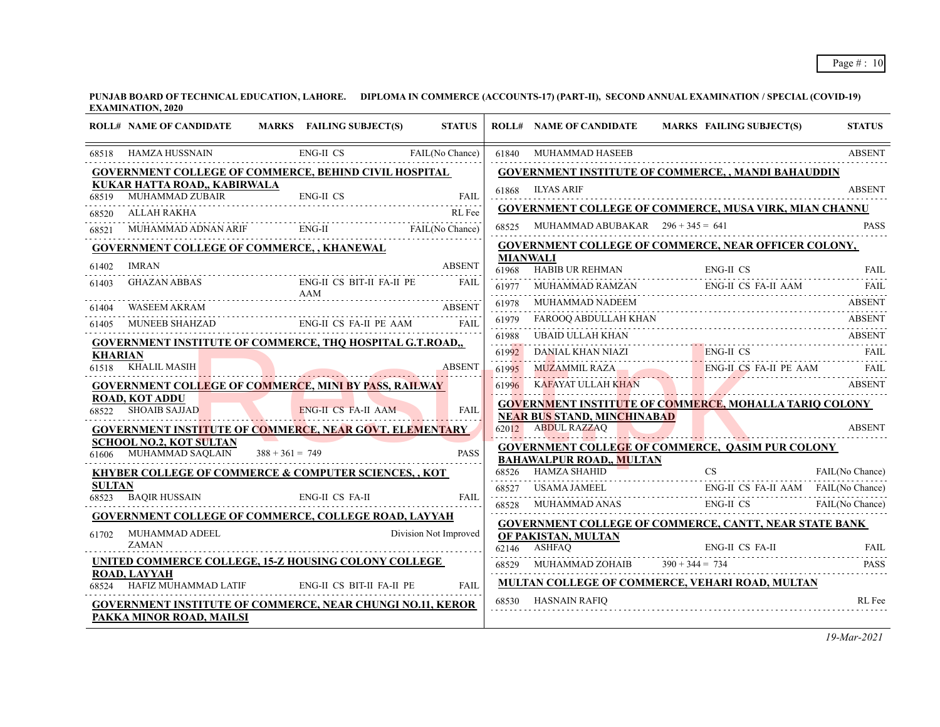|                | <b>ROLL# NAME OF CANDIDATE</b>                                                                                       |                   | MARKS FAILING SUBJECT(S)  | <b>STATUS</b>         |                 |                                                          | ROLL# NAME OF CANDIDATE MARKS FAILING SUBJECT(S)                                                | <b>STATUS</b>   |
|----------------|----------------------------------------------------------------------------------------------------------------------|-------------------|---------------------------|-----------------------|-----------------|----------------------------------------------------------|-------------------------------------------------------------------------------------------------|-----------------|
|                | 68518 HAMZA HUSSNAIN ENG-II CS FAIL(No Chance)                                                                       |                   |                           |                       |                 | 61840 MUHAMMAD HASEEB                                    |                                                                                                 | <b>ABSENT</b>   |
|                | <b>GOVERNMENT COLLEGE OF COMMERCE, BEHIND CIVIL HOSPITAL</b>                                                         |                   |                           |                       |                 |                                                          | <b>GOVERNMENT INSTITUTE OF COMMERCE, , MANDI BAHAUDDIN</b>                                      |                 |
|                | KUKAR HATTA ROAD,, KABIRWALA                                                                                         |                   |                           |                       |                 | 61868 ILYAS ARIF                                         |                                                                                                 | <b>ABSENT</b>   |
| 68520          | 68519 MUHAMMAD ZUBAIR ENG-II CS FAIL<br>ALLAH RAKHA                                                                  |                   |                           | RL Fee                |                 |                                                          | <b>GOVERNMENT COLLEGE OF COMMERCE, MUSA VIRK, MIAN CHANNU</b>                                   |                 |
| 68521          | MUHAMMAD ADNAN ARIF ENG-II FAIL(No Chance)                                                                           |                   |                           |                       |                 | 68525 MUHAMMAD ABUBAKAR $296 + 345 = 641$                |                                                                                                 | <b>PASS</b>     |
|                | <b>GOVERNMENT COLLEGE OF COMMERCE,, KHANEWAL</b>                                                                     |                   |                           |                       |                 |                                                          | <b>GOVERNMENT COLLEGE OF COMMERCE, NEAR OFFICER COLONY,</b>                                     |                 |
|                | IMRAN                                                                                                                |                   |                           | <b>ABSENT</b>         | <b>MIANWALI</b> |                                                          |                                                                                                 |                 |
| 61402          | GHAZAN ABBAS                                                                                                         |                   | ENG-II CS BIT-II FA-II PE | FAIL                  |                 |                                                          | 61968 HABIB UR REHMAN ENG-II CS FAIL                                                            |                 |
| 61403          |                                                                                                                      |                   |                           |                       | 61977           |                                                          | MUHAMMAD RAMZAN ENG-II CS FA-II AAM                                                             | FAII.           |
| 61404          |                                                                                                                      |                   |                           |                       |                 | 61978 MUHAMMAD NADEEM                                    |                                                                                                 | <b>ABSENT</b>   |
| 61405          | WASEEM AKRAM ABSENT MUNEER SHAHZAD ENG-II CS FA-II PE AAM FAIL FUNCTION ASSEMBLE SHAHZAD ENG-II CS FA-II PE AAM FAIL |                   |                           |                       |                 |                                                          | 61978 MUHAMMAD NADEEM<br>61979 FAROQQ ABDULLAH KHAN ABSENT<br>61979 FAROQQ ABDULLAH KHAN ABSENT |                 |
|                | <b>GOVERNMENT INSTITUTE OF COMMERCE, THQ HOSPITAL G.T.ROAD,,</b>                                                     |                   |                           |                       |                 |                                                          |                                                                                                 |                 |
| <b>KHARIAN</b> |                                                                                                                      |                   |                           |                       |                 |                                                          |                                                                                                 |                 |
|                | 61518 KHALIL MASIH                                                                                                   |                   |                           | <b>ABSENT</b>         | 61995           |                                                          | MUZAMMIL RAZA ENG-II CS FA-II PE AAM FAIL                                                       |                 |
|                | <b>GOVERNMENT COLLEGE OF COMMERCE, MINI BY PASS, RAILWAY</b>                                                         |                   |                           |                       |                 |                                                          | 61996 KAFAYAT ULLAH KHAN ABSENT                                                                 |                 |
|                | <b>ROAD, KOT ADDU</b><br>68522 SHOAIB SAJJAD                                                                         |                   | ENG-II CS FA-II AAM       | <b>FAIL</b>           |                 |                                                          | <b>GOVERNMENT INSTITUTE OF COMMERCE, MOHALLA TARIO COLONY</b>                                   |                 |
|                | <b>GOVERNMENT INSTITUTE OF COMMERCE, NEAR GOVT. ELEMENTARY</b>                                                       |                   |                           |                       |                 | <b>NEAR BUS STAND, MINCHINABAD</b><br>62012 ABDUL RAZZAQ |                                                                                                 | <b>ABSENT</b>   |
|                | <b>SCHOOL NO.2, KOT SULTAN</b>                                                                                       |                   |                           |                       |                 |                                                          | <b>GOVERNMENT COLLEGE OF COMMERCE, QASIM PUR COLONY</b>                                         |                 |
|                | 61606 MUHAMMAD SAQLAIN                                                                                               | $388 + 361 = 749$ |                           | <b>PASS</b>           |                 | <b>BAHAWALPUR ROAD,, MULTAN</b>                          |                                                                                                 |                 |
|                | <b>KHYBER COLLEGE OF COMMERCE &amp; COMPUTER SCIENCES,, KOT</b>                                                      |                   |                           |                       |                 |                                                          | 68526 HAMZA SHAHID CS CS                                                                        | FAIL(No Chance) |
| <b>SULTAN</b>  | 68523 BAQIR HUSSAIN                                                                                                  |                   | ENG-II CS FA-II           | FAII.                 |                 |                                                          | 68527 USAMA JAMEEL ENG-II CS FA-II AAM FAIL (No Chance)                                         |                 |
|                |                                                                                                                      |                   |                           |                       |                 |                                                          | 68528 MUHAMMAD ANAS ENG-II CS FAIL (No Chance)                                                  |                 |
|                | <b>GOVERNMENT COLLEGE OF COMMERCE, COLLEGE ROAD, LAYYAH</b>                                                          |                   |                           |                       |                 |                                                          | GOVERNMENT COLLEGE OF COMMERCE, CANTT, NEAR STATE BANK                                          |                 |
| 61702          | MUHAMMAD ADEEL<br><b>ZAMAN</b>                                                                                       |                   |                           | Division Not Improved |                 | OF PAKISTAN, MULTAN                                      |                                                                                                 |                 |
|                | UNITED COMMERCE COLLEGE, 15-Z HOUSING COLONY COLLEGE                                                                 |                   |                           |                       |                 |                                                          | ENG-II CS FA-II FAIL<br>68529 MUHAMMAD ZOHAIB 390 + 344 = 734 PASS                              |                 |
|                | <b>ROAD, LAYYAH</b>                                                                                                  |                   |                           |                       |                 |                                                          |                                                                                                 |                 |
|                | 68524 HAFIZ MUHAMMAD LATIF ENG-II CS BIT-II FA-II PE                                                                 |                   |                           | FAII.                 |                 |                                                          | <b>MULTAN COLLEGE OF COMMERCE, VEHARI ROAD, MULTAN</b>                                          |                 |
|                | <b>GOVERNMENT INSTITUTE OF COMMERCE, NEAR CHUNGI NO.11, KEROR</b>                                                    |                   |                           |                       |                 | 68530 HASNAIN RAFIQ                                      |                                                                                                 | RL Fee          |
|                | PAKKA MINOR ROAD, MAILSI                                                                                             |                   |                           |                       |                 |                                                          |                                                                                                 |                 |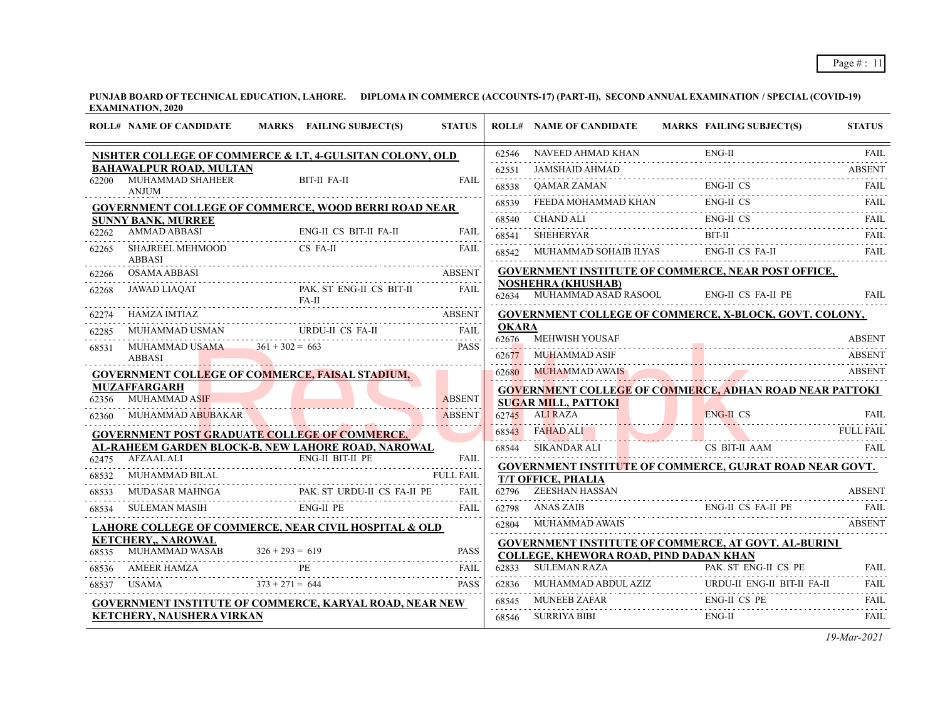|                | <b>ROLL# NAME OF CANDIDATE</b>                    | MARKS FAILING SUBJECT(S)                                                  | <b>STATUS</b> |              | <b>ROLL# NAME OF CANDIDATE</b>                                             | MARKS FAILING SUBJECT(S)                                                                                                                                                                                                                                                                                                                                                                                                                                                                                                                            | <b>STATUS</b> |
|----------------|---------------------------------------------------|---------------------------------------------------------------------------|---------------|--------------|----------------------------------------------------------------------------|-----------------------------------------------------------------------------------------------------------------------------------------------------------------------------------------------------------------------------------------------------------------------------------------------------------------------------------------------------------------------------------------------------------------------------------------------------------------------------------------------------------------------------------------------------|---------------|
|                |                                                   | NISHTER COLLEGE OF COMMERCE & I.T, 4-GULSITAN COLONY, OLD                 |               | 62546        |                                                                            | $\begin{tabular}{ll} NAVEED AHMAD KHAN & \quad ENG-II & \quad FAIL \\ \hline \end{tabular} \begin{tabular}{ll} \hline \end{tabular} \begin{tabular}{ll} \hline \end{tabular} \begin{tabular}{ll} \hline \end{tabular} \begin{tabular}{ll} \hline \end{tabular} \end{tabular} \begin{tabular}{ll} \hline \end{tabular} \begin{tabular}{ll} \hline \end{tabular} \end{tabular} \begin{tabular}{ll} \hline \end{tabular} \begin{tabular}{ll} \hline \end{tabular} \end{tabular} \begin{tabular}{ll} \hline \end{tabular} \begin{tabular}{ll} \hline \$ |               |
|                | <b>BAHAWALPUR ROAD, MULTAN</b>                    |                                                                           |               | 62551        | JAMSHAID AHMAD                                                             |                                                                                                                                                                                                                                                                                                                                                                                                                                                                                                                                                     | <b>ABSENT</b> |
| 62200          | MUHAMMAD SHAHEER<br><b>ANJUM</b>                  | BIT-II FA-II                                                              | <b>FAIL</b>   | 68538        |                                                                            | ENG-II CS                                                                                                                                                                                                                                                                                                                                                                                                                                                                                                                                           | FAIL.         |
|                |                                                   | <b>GOVERNMENT COLLEGE OF COMMERCE, WOOD BERRI ROAD NEAR</b>               |               | 68539        | FEEDA MOHAMMAD KHAN                                                        | ENG-II CS                                                                                                                                                                                                                                                                                                                                                                                                                                                                                                                                           | FAIL          |
|                | <b>SUNNY BANK, MURREE</b>                         |                                                                           |               |              |                                                                            | 68540 CHANDALI ENG-II CS FAIL                                                                                                                                                                                                                                                                                                                                                                                                                                                                                                                       |               |
| 62262          | <b>AMMAD ABBASI</b><br>BASI E                     | ENG-II CS BIT-II FA-II                                                    | FAIL          |              | <b>SHEHERYAR</b>                                                           | $BIT-II$<br>68541 SHEHERYAR BIT-II FAIL FAIL                                                                                                                                                                                                                                                                                                                                                                                                                                                                                                        |               |
| 62265          | SHAJREEL MEHMOOD<br><b>ABBASI</b>                 | CS FA-II                                                                  | <b>FAIL</b>   |              |                                                                            | 68542 MUHAMMAD SOHAIB ILYAS ENG-II CS FA-II                                                                                                                                                                                                                                                                                                                                                                                                                                                                                                         | FAII.         |
| 62266          | OSAMA ABBASI                                      |                                                                           | <b>ABSENT</b> |              |                                                                            | GOVERNMENT INSTITUTE OF COMMERCE, NEAR POST OFFICE,                                                                                                                                                                                                                                                                                                                                                                                                                                                                                                 |               |
| 62268          | JAWAD LIAQAT                                      | PAK ST ENG-II CS BIT-II<br>FA-II                                          | <b>FAIL</b>   |              | <b>NOSHEHRA (KHUSHAB)</b><br>62634 MUHAMMAD ASAD RASOOL ENG-II CS FA-II PE |                                                                                                                                                                                                                                                                                                                                                                                                                                                                                                                                                     | FAII.         |
|                | HAMZA IMTIAZ                                      |                                                                           |               |              |                                                                            | <b>GOVERNMENT COLLEGE OF COMMERCE, X-BLOCK, GOVT. COLONY,</b>                                                                                                                                                                                                                                                                                                                                                                                                                                                                                       |               |
| 62285          |                                                   |                                                                           |               | <b>OKARA</b> | <b>MEHWISH YOUSAF</b>                                                      |                                                                                                                                                                                                                                                                                                                                                                                                                                                                                                                                                     | <b>ABSENT</b> |
| 68531          | MUHAMMAD USAMA $361 + 302 = 663$<br><b>ABBASI</b> |                                                                           | <b>PASS</b>   | 62676        | 62677 MUHAMMAD ASIF                                                        |                                                                                                                                                                                                                                                                                                                                                                                                                                                                                                                                                     | ABSENT        |
|                |                                                   | <b>GOVERNMENT COLLEGE OF COMMERCE, FAISAL STADIUM,</b>                    |               |              |                                                                            | 62680 MUHAMMAD AWAIS                                                                                                                                                                                                                                                                                                                                                                                                                                                                                                                                | <b>ABSENT</b> |
|                | <b>MUZAFFARGARH</b>                               |                                                                           |               |              |                                                                            | <b>GOVERNMENT COLLEGE OF COMMERCE, ADHAN ROAD NEAR PATTOKI</b>                                                                                                                                                                                                                                                                                                                                                                                                                                                                                      |               |
| 62356          | <b>MUHAMMAD ASIF</b>                              |                                                                           | <b>ABSENT</b> |              | <b>SUGAR MILL, PATTOKI</b>                                                 |                                                                                                                                                                                                                                                                                                                                                                                                                                                                                                                                                     |               |
| 62360          |                                                   | MUHAMMAD ABUBAKAR ARTI ABSEN                                              | <b>ABSENT</b> |              | 62745 ALI RAZA                                                             | <b>ENG-IL CS</b><br><u>LI RAZA FAIL ENG-II CS</u> FAIL FAIL ENGERET ENGLISHED ENGERET ENGEL                                                                                                                                                                                                                                                                                                                                                                                                                                                         | FAIL.         |
|                |                                                   | <b>GOVERNMENT POST GRADUATE COLLEGE OF COMMERCE,</b>                      |               |              |                                                                            | 68543 FAHAD ALI FULL FAIL FULL FAIL                                                                                                                                                                                                                                                                                                                                                                                                                                                                                                                 |               |
|                |                                                   | AL-RAHEEM GARDEN BLOCK-B, NEW LAHORE ROAD, NAROWAL                        |               |              |                                                                            | 68544 SIKANDAR ALI CS BIT-II AAM                                                                                                                                                                                                                                                                                                                                                                                                                                                                                                                    |               |
|                | 62475 AFZAAL ALI                                  |                                                                           |               |              |                                                                            | <b>GOVERNMENT INSTITUTE OF COMMERCE, GUJRAT ROAD NEAR GOVT.</b>                                                                                                                                                                                                                                                                                                                                                                                                                                                                                     |               |
| 68532<br>68533 | MUHAMMAD BILAL                                    | PAK. ST URDU-II CS FA-II PE<br>MUDASAR MAHNGA PAK. ST URDU-II CS FA-II PE | <b>FAIL</b>   |              | T/T OFFICE, PHALIA<br>62796 ZEESHAN HASSAN                                 |                                                                                                                                                                                                                                                                                                                                                                                                                                                                                                                                                     | <b>ABSENT</b> |
| 68534          |                                                   | SULEMAN MASIH ENG-II PE                                                   | FAII.         |              | 62798 ANAS ZAIB                                                            | ENG-II CS FA-II PE                                                                                                                                                                                                                                                                                                                                                                                                                                                                                                                                  |               |
|                |                                                   | LAHORE COLLEGE OF COMMERCE, NEAR CIVIL HOSPITAL & OLD                     |               |              | 62804 MUHAMMAD AWAIS                                                       |                                                                                                                                                                                                                                                                                                                                                                                                                                                                                                                                                     | ABSENT        |
|                | <b>KETCHERY,, NAROWAL</b>                         |                                                                           |               |              |                                                                            | <b>GOVERNMENT INSTITUTE OF COMMERCE, AT GOVT. AL-BURINI</b>                                                                                                                                                                                                                                                                                                                                                                                                                                                                                         |               |
| 68535          |                                                   | MUHAMMAD WASAB $326 + 293 = 619$ PASS                                     |               |              | COLLEGE, KHEWORA ROAD, PIND DADAN KHAN                                     |                                                                                                                                                                                                                                                                                                                                                                                                                                                                                                                                                     |               |
| 68536          | AMEER HAMZA PE                                    |                                                                           | FAII.         | 62833        | <b>SULEMAN RAZA</b>                                                        | PAK ST ENG-II CS PE                                                                                                                                                                                                                                                                                                                                                                                                                                                                                                                                 | FAII.         |
|                | 68537 USAMA $373 + 271 = 644$                     |                                                                           | <b>PASS</b>   | 62836        |                                                                            | $\begin{tabular}{ll} MUHAMMAD ABDUL AZIZ & URDU-II ENG-II BIT-II FA-II \\ \hline \end{tabular}$                                                                                                                                                                                                                                                                                                                                                                                                                                                     | FAIL.<br>.    |
|                |                                                   | <b>GOVERNMENT INSTITUTE OF COMMERCE, KARYAL ROAD, NEAR NEW</b>            |               | 68545        | <b>MUNEEB ZAFAR</b>                                                        | <b>ENG-II CS PE</b>                                                                                                                                                                                                                                                                                                                                                                                                                                                                                                                                 | <b>FAIL</b>   |
|                | <b>KETCHERY, NAUSHERA VIRKAN</b>                  |                                                                           |               | 68546        | SURRIYA BIBI                                                               | $ENG-II$                                                                                                                                                                                                                                                                                                                                                                                                                                                                                                                                            | <b>FAIL</b>   |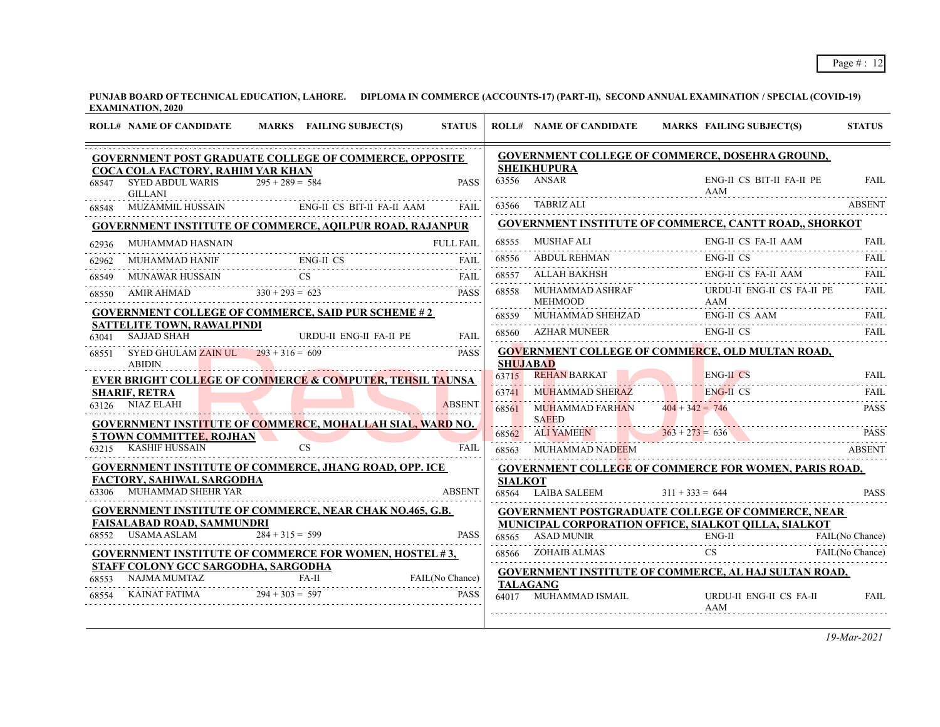|       | <b>ROLL# NAME OF CANDIDATE</b>                                                 |                   | MARKS FAILING SUBJECT(S)                                                             | <b>STATUS</b> |                 | <b>ROLL# NAME OF CANDIDATE</b>         |                   | <b>MARKS FAILING SUBJECT(S)</b>                                                                                                                                                                                                         | <b>STATUS</b>   |
|-------|--------------------------------------------------------------------------------|-------------------|--------------------------------------------------------------------------------------|---------------|-----------------|----------------------------------------|-------------------|-----------------------------------------------------------------------------------------------------------------------------------------------------------------------------------------------------------------------------------------|-----------------|
|       |                                                                                |                   | <b>GOVERNMENT POST GRADUATE COLLEGE OF COMMERCE, OPPOSITE</b>                        |               |                 |                                        |                   | GOVERNMENT COLLEGE OF COMMERCE, DOSEHRA GROUND,                                                                                                                                                                                         |                 |
| 68547 | COCA COLA FACTORY, RAHIM YAR KHAN<br><b>SYED ABDUL WARIS</b><br><b>GILLANI</b> | $295 + 289 = 584$ |                                                                                      | <b>PASS</b>   |                 | <b>SHEIKHUPURA</b><br>$63556$ ANSAR    |                   | ENG-II CS BIT-II FA-II PE<br>AAM                                                                                                                                                                                                        | FAII.           |
| 68548 | <b>MUZAMMIL HUSSAIN</b>                                                        |                   | ENG-II CS BIT-II FA-II AAM                                                           | FAII.         |                 | 63566 TABRIZ ALI                       |                   |                                                                                                                                                                                                                                         | <b>ABSENT</b>   |
|       |                                                                                |                   | <b>GOVERNMENT INSTITUTE OF COMMERCE, AQILPUR ROAD, RAJANPUR</b>                      |               |                 |                                        |                   | GOVERNMENT INSTITUTE OF COMMERCE, CANTT ROAD,, SHORKOT                                                                                                                                                                                  |                 |
| 62936 | MUHAMMAD HASNAIN                                                               |                   |                                                                                      | FULL FAIL     | 68555           | MUSHAF ALI                             |                   | ENG-II CS FA-II AAM                                                                                                                                                                                                                     | <b>FAIL</b>     |
| 62962 | <b>MUHAMMAD HANIF</b>                                                          |                   | MAD HANIF ENG-II CS FAIL                                                             | FAII.         | 68556           | <b>ABDUL REHMAN</b>                    |                   | <b>ENG-II CS</b>                                                                                                                                                                                                                        | FAII.           |
| 68549 |                                                                                |                   |                                                                                      | FAIL          | 68557           |                                        |                   | ENG-II CS FA-II AAM                                                                                                                                                                                                                     | <b>FAIL</b>     |
| 68550 |                                                                                |                   | MUNAWAR HUSSAIN CS FAIL AMIR AHMAD 330 + 293 = 623 PASS                              | <b>PASS</b>   | 68558           | MUHAMMAD ASHRAF<br><b>MEHMOOD</b>      |                   | URDU-II ENG-II CS FA-II PE<br>AAM                                                                                                                                                                                                       | <b>FAIL</b>     |
|       |                                                                                |                   | <b>GOVERNMENT COLLEGE OF COMMERCE, SAID PUR SCHEME #2</b>                            |               | 68559           |                                        |                   | $\begin{tabular}{ll} MUHAMMAD SHEHZAD \hspace{2.5cm} ENG-II CS AAM \hspace{2.5cm} FAIL \\ \rule{2.5cm} \rule{2.2cm}{0.15cm} \end{tabular} \begin{tabular}{ll} \textbf{EMG-II CS AAM} \hspace{2.5cm} FAIL \\ \rule{2.5cm} \end{tabular}$ |                 |
| 63041 | <b>SATTELITE TOWN, RAWALPINDI</b><br><b>SAJJAD SHAH</b>                        |                   | URDU-II ENG-II FA-II PE                                                              | FAIL          |                 | 68560 AZHAR MUNEER                     |                   | ENG-II CS<br>AR MUNEER ENG-II CS                                                                                                                                                                                                        | <b>FAIL</b>     |
| 68551 | SYED GHULAM ZAIN UL $293 + 316 = 609$<br><b>ABIDIN</b>                         |                   |                                                                                      | <b>PASS</b>   | <b>SHUJABAD</b> |                                        |                   | <b>GOVERNMENT COLLEGE OF COMMERCE, OLD MULTAN ROAD,</b>                                                                                                                                                                                 |                 |
|       |                                                                                |                   | <b>EVER BRIGHT COLLEGE OF COMMERCE &amp; COMPUTER, TEHSIL TAUNSA</b>                 |               |                 | 63715 REHAN BARKAT                     |                   | <b>ENG-II CS</b>                                                                                                                                                                                                                        | FAII.           |
|       | <b>SHARIF, RETRA</b>                                                           |                   |                                                                                      |               | 63741           | MUHAMMAD SHERAZ                        |                   | ENG-II CS                                                                                                                                                                                                                               | FAII.           |
|       | 63126 NIAZ ELAHI                                                               |                   |                                                                                      | <b>ABSENT</b> | 68561           | MUHAMMAD FARHAN                        | $404 + 342 = 746$ |                                                                                                                                                                                                                                         | <b>PASS</b>     |
|       |                                                                                |                   | <b>GOVERNMENT INSTITUTE OF COMMERCE, MOHALLAH SIAL, WARD NO.</b>                     |               |                 | <b>SAEED</b><br>68562 ALIYAMEEN        |                   | $363 + 273 = 636$ PASS                                                                                                                                                                                                                  |                 |
|       | <b>5 TOWN COMMITTEE, ROJHAN</b><br>63215 KASHIF HUSSAIN                        |                   | <b>CS</b>                                                                            | FAII.         |                 | 68563 MUHAMMAD NADEEM                  |                   |                                                                                                                                                                                                                                         | <b>ABSENT</b>   |
|       |                                                                                |                   | <b>GOVERNMENT INSTITUTE OF COMMERCE, JHANG ROAD, OPP. ICE</b>                        |               |                 |                                        |                   | <b>GOVERNMENT COLLEGE OF COMMERCE FOR WOMEN, PARIS ROAD,</b>                                                                                                                                                                            |                 |
|       | FACTORY, SAHIWAL SARGODHA                                                      |                   |                                                                                      |               | <b>SIALKOT</b>  |                                        |                   |                                                                                                                                                                                                                                         |                 |
|       | 63306 MUHAMMAD SHEHR YAR                                                       |                   |                                                                                      | <b>ABSENT</b> |                 | $68564$ LAIBA SALEEM $311 + 333 = 644$ |                   |                                                                                                                                                                                                                                         | <b>PASS</b>     |
|       |                                                                                |                   | <b>GOVERNMENT INSTITUTE OF COMMERCE, NEAR CHAK NO.465, G.B.</b>                      |               |                 |                                        |                   | <b>GOVERNMENT POSTGRADUATE COLLEGE OF COMMERCE, NEAR</b>                                                                                                                                                                                |                 |
|       | <b>FAISALABAD ROAD, SAMMUNDRI</b><br>68552 USAMA ASLAM                         | $284 + 315 = 599$ |                                                                                      | <b>PASS</b>   |                 | 68565 ASAD MUNIR                       |                   | MUNICIPAL CORPORATION OFFICE, SIALKOT QILLA, SIALKOT<br>$ENG-II$                                                                                                                                                                        | FAIL(No Chance) |
|       |                                                                                |                   | <b>GOVERNMENT INSTITUTE OF COMMERCE FOR WOMEN, HOSTEL #3,</b>                        |               |                 | 68566 ZOHAIB ALMAS CS CS               |                   |                                                                                                                                                                                                                                         | FAIL(No Chance) |
|       | STAFF COLONY GCC SARGODHA, SARGODHA                                            |                   |                                                                                      |               |                 |                                        |                   | <b>GOVERNMENT INSTITUTE OF COMMERCE, AL HAJ SULTAN ROAD,</b>                                                                                                                                                                            |                 |
|       |                                                                                |                   |                                                                                      |               | <b>TALAGANG</b> |                                        |                   |                                                                                                                                                                                                                                         |                 |
|       |                                                                                |                   | 68553 NAJMA MUMTAZ FA-II FAIL(No Chance)<br>68554 KAINAT FATIMA 294 + 303 = 597 PASS |               |                 | 64017 MUHAMMAD ISMAIL                  |                   | URDU-II ENG-II CS FA-II<br>AAM                                                                                                                                                                                                          | <b>FAIL</b>     |
|       |                                                                                |                   |                                                                                      |               |                 |                                        |                   |                                                                                                                                                                                                                                         |                 |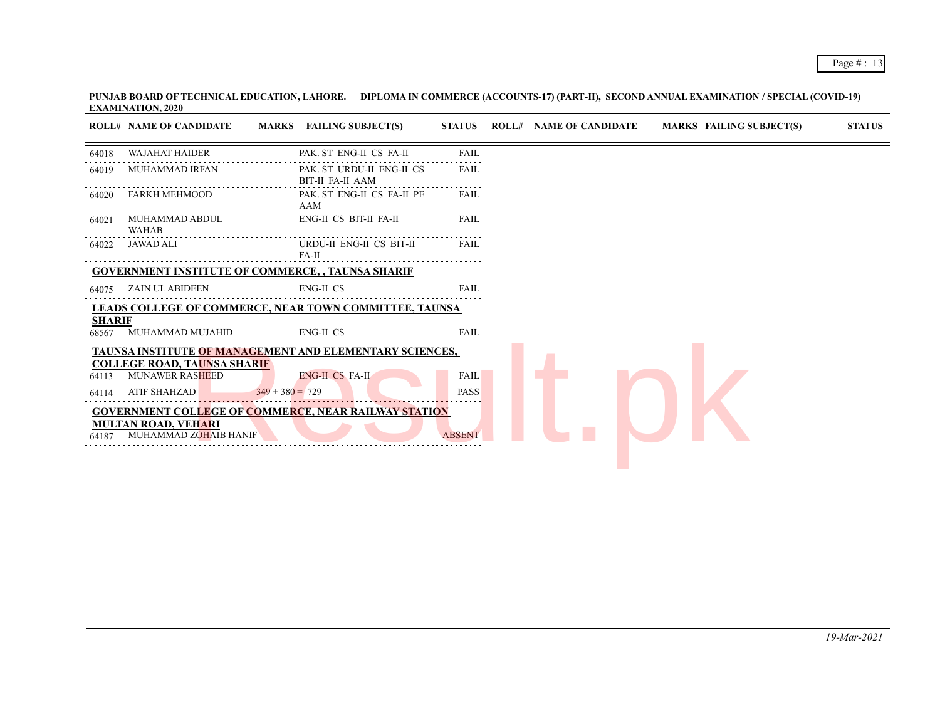|                         | <b>ROLL# NAME OF CANDIDATE</b>                                                                                                             | MARKS FAILING SUBJECT(S)                                                                                                                                              | <b>STATUS</b>                               | <b>ROLL# NAME OF CANDIDATE</b> | <b>MARKS FAILING SUBJECT(S)</b> | <b>STATUS</b> |
|-------------------------|--------------------------------------------------------------------------------------------------------------------------------------------|-----------------------------------------------------------------------------------------------------------------------------------------------------------------------|---------------------------------------------|--------------------------------|---------------------------------|---------------|
| 64018                   | <b>WAJAHAT HAIDER</b>                                                                                                                      | PAK. ST ENG-II CS FA-II                                                                                                                                               | <b>FAIL</b>                                 |                                |                                 |               |
| 64019                   | MUHAMMAD IRFAN                                                                                                                             | PAK. ST URDU-II ENG-II CS<br><b>BIT-II FA-II AAM</b>                                                                                                                  | FAIL                                        |                                |                                 |               |
| 64020                   | <b>FARKH MEHMOOD</b>                                                                                                                       | PAK. ST ENG-II CS FA-II PE<br>AAM                                                                                                                                     | <b>FAIL</b>                                 |                                |                                 |               |
| 64021                   | MUHAMMAD ABDUL<br><b>WAHAB</b>                                                                                                             | ENG-II CS BIT-II FA-II                                                                                                                                                | <b>FAIL</b>                                 |                                |                                 |               |
| 64022                   | JAWAD ALI                                                                                                                                  | URDU-II ENG-II CS BIT-II<br>$FA-II$                                                                                                                                   | FAIL                                        |                                |                                 |               |
|                         |                                                                                                                                            | <b>GOVERNMENT INSTITUTE OF COMMERCE, , TAUNSA SHARIF</b>                                                                                                              |                                             |                                |                                 |               |
|                         | 64075 ZAIN UL ABIDEEN                                                                                                                      | ENG-II CS                                                                                                                                                             | <b>FAIL</b>                                 |                                |                                 |               |
|                         |                                                                                                                                            | LEADS COLLEGE OF COMMERCE, NEAR TOWN COMMITTEE, TAUNSA                                                                                                                |                                             |                                |                                 |               |
| <b>SHARIF</b>           | 68567 MUHAMMAD MUJAHID                                                                                                                     | <b>ENG-II CS</b>                                                                                                                                                      | <b>FAIL</b>                                 |                                |                                 |               |
| 64113<br>64114<br>64187 | <b>COLLEGE ROAD, TAUNSA SHARIF</b><br><b>MUNAWER RASHEED</b><br><b>ATIF SHAHZAD</b><br><b>MULTAN ROAD, VEHARI</b><br>MUHAMMAD ZOHAIB HANIF | TAUNSA INSTITUTE OF MANAGEMENT AND ELEMENTARY SCIENCES,<br><b>ENG-II CS FA-II</b><br>$349 + 380 = 729$<br><b>GOVERNMENT COLLEGE OF COMMERCE, NEAR RAILWAY STATION</b> | <b>FAIL</b><br><b>PASS</b><br><b>ABSENT</b> |                                |                                 |               |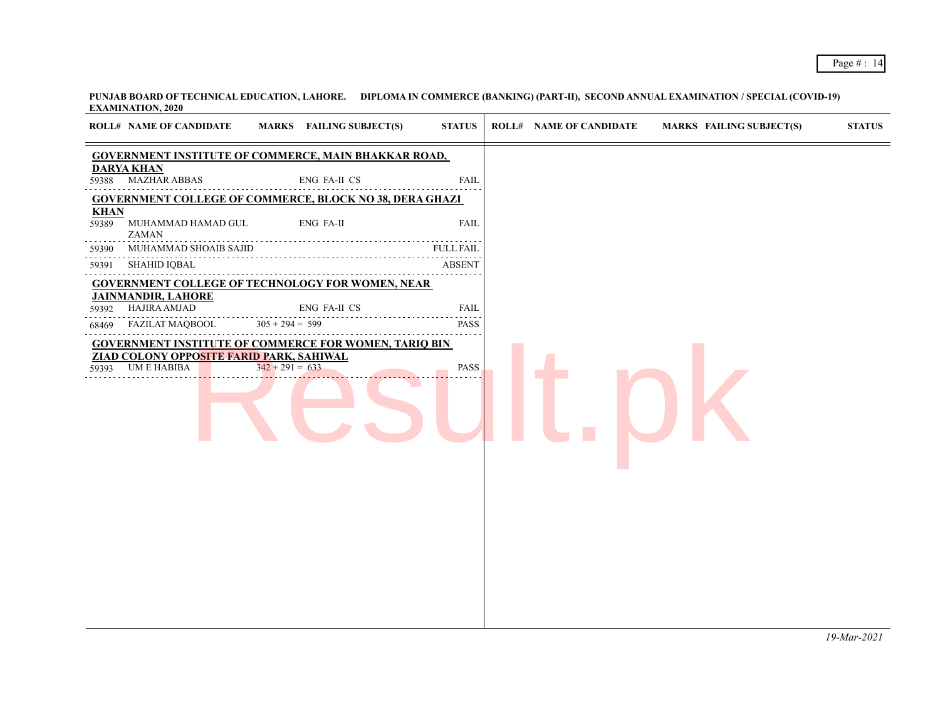| <b>ROLL# NAME OF CANDIDATE</b>                                                                                                                            | MARKS FAILING SUBJECT(S)                                                                                                                                                          | <b>STATUS</b>                                                                                                                                                                                    | <b>ROLL# NAME OF CANDIDATE</b> | <b>MARKS FAILING SUBJECT(S)</b> | <b>STATUS</b> |
|-----------------------------------------------------------------------------------------------------------------------------------------------------------|-----------------------------------------------------------------------------------------------------------------------------------------------------------------------------------|--------------------------------------------------------------------------------------------------------------------------------------------------------------------------------------------------|--------------------------------|---------------------------------|---------------|
|                                                                                                                                                           | <b>GOVERNMENT INSTITUTE OF COMMERCE, MAIN BHAKKAR ROAD,</b>                                                                                                                       |                                                                                                                                                                                                  |                                |                                 |               |
| <b>DARYA KHAN</b><br><b>MAZHAR ABBAS</b><br>59388                                                                                                         | ENG FA-II CS                                                                                                                                                                      | <b>FAIL</b>                                                                                                                                                                                      |                                |                                 |               |
|                                                                                                                                                           | <b>GOVERNMENT COLLEGE OF COMMERCE, BLOCK NO 38, DERA GHAZI</b>                                                                                                                    |                                                                                                                                                                                                  |                                |                                 |               |
| <b>KHAN</b><br>MUHAMMAD HAMAD GUL<br>59389<br><b>ZAMAN</b>                                                                                                | <b>ENG FA-II</b>                                                                                                                                                                  | <b>FAIL</b>                                                                                                                                                                                      |                                |                                 |               |
| MUHAMMAD SHOAIB SAJID<br>59390                                                                                                                            |                                                                                                                                                                                   | <b>FULL FAIL</b>                                                                                                                                                                                 |                                |                                 |               |
| SHAHID IQBAL<br>59391                                                                                                                                     |                                                                                                                                                                                   | <b>ABSENT</b>                                                                                                                                                                                    |                                |                                 |               |
| <b>JAINMANDIR, LAHORE</b><br>HAJIRA AMJAD<br>59392<br>FAZILAT MAQBOOL<br>68469<br><b>ZIAD COLONY OPPOSITE FARID PARK, SAHIWAL</b><br>UM E HABIBA<br>59393 | <b>GOVERNMENT COLLEGE OF TECHNOLOGY FOR WOMEN, NEAR</b><br>ENG FA-II CS<br>$305 + 294 = 599$<br><b>GOVERNMENT INSTITUTE OF COMMERCE FOR WOMEN, TARIQ BIN</b><br>$342 + 291 = 633$ | <b>FAIL</b><br>2 2 2 2 2 <b>3</b><br><b>PASS</b><br>$\mathcal{L}^{\mathcal{A}}\left( \mathcal{A}^{\mathcal{A}}\right) =\mathcal{L}^{\mathcal{A}}\left( \mathcal{A}^{\mathcal{A}}\right)$<br>PASS |                                |                                 |               |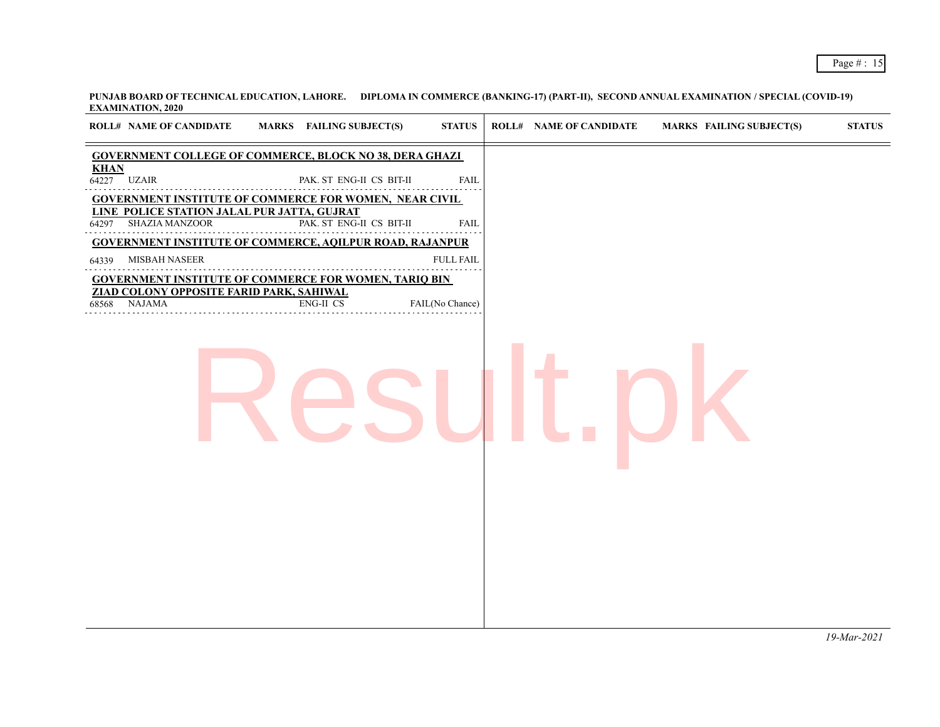|             | <b>EAAMINATION, 2020</b>                                            |                                                                 |                  |                                |                                 |                |
|-------------|---------------------------------------------------------------------|-----------------------------------------------------------------|------------------|--------------------------------|---------------------------------|----------------|
|             | <b>ROLL# NAME OF CANDIDATE</b>                                      | <b>MARKS</b> FAILING SUBJECT(S)                                 | <b>STATUS</b>    | <b>ROLL# NAME OF CANDIDATE</b> | <b>MARKS FAILING SUBJECT(S)</b> | <b>STATUS</b>  |
|             |                                                                     | <b>GOVERNMENT COLLEGE OF COMMERCE, BLOCK NO 38, DERA GHAZI</b>  |                  |                                |                                 |                |
| <b>KHAN</b> | $64227$ UZAIR                                                       | PAK. ST ENG-II CS BIT-II                                        | <b>FAIL</b>      |                                |                                 |                |
|             |                                                                     | <b>GOVERNMENT INSTITUTE OF COMMERCE FOR WOMEN, NEAR CIVIL</b>   |                  |                                |                                 |                |
|             | LINE POLICE STATION JALAL PUR JATTA, GUJRAT<br>64297 SHAZIA MANZOOR | PAK. ST ENG-II CS BIT-II                                        | <b>FAIL</b>      |                                |                                 |                |
|             |                                                                     | <b>GOVERNMENT INSTITUTE OF COMMERCE, AQILPUR ROAD, RAJANPUR</b> |                  |                                |                                 |                |
|             | 64339 MISBAH NASEER                                                 |                                                                 | <b>FULL FAIL</b> |                                |                                 |                |
|             |                                                                     | <b>GOVERNMENT INSTITUTE OF COMMERCE FOR WOMEN, TARIQ BIN</b>    |                  |                                |                                 |                |
|             | ZIAD COLONY OPPOSITE FARID PARK, SAHIWAL<br>68568 NAJAMA            | ENG-II CS                                                       | FAIL(No Chance)  |                                |                                 |                |
|             |                                                                     |                                                                 |                  |                                |                                 |                |
|             |                                                                     |                                                                 |                  |                                |                                 |                |
|             |                                                                     |                                                                 |                  |                                |                                 |                |
|             |                                                                     |                                                                 |                  |                                |                                 |                |
|             |                                                                     |                                                                 |                  |                                |                                 |                |
|             |                                                                     |                                                                 |                  |                                |                                 |                |
|             |                                                                     |                                                                 |                  |                                |                                 |                |
|             |                                                                     |                                                                 |                  |                                |                                 |                |
|             |                                                                     |                                                                 |                  |                                |                                 |                |
|             |                                                                     |                                                                 |                  |                                |                                 | $10$ -Mar-2021 |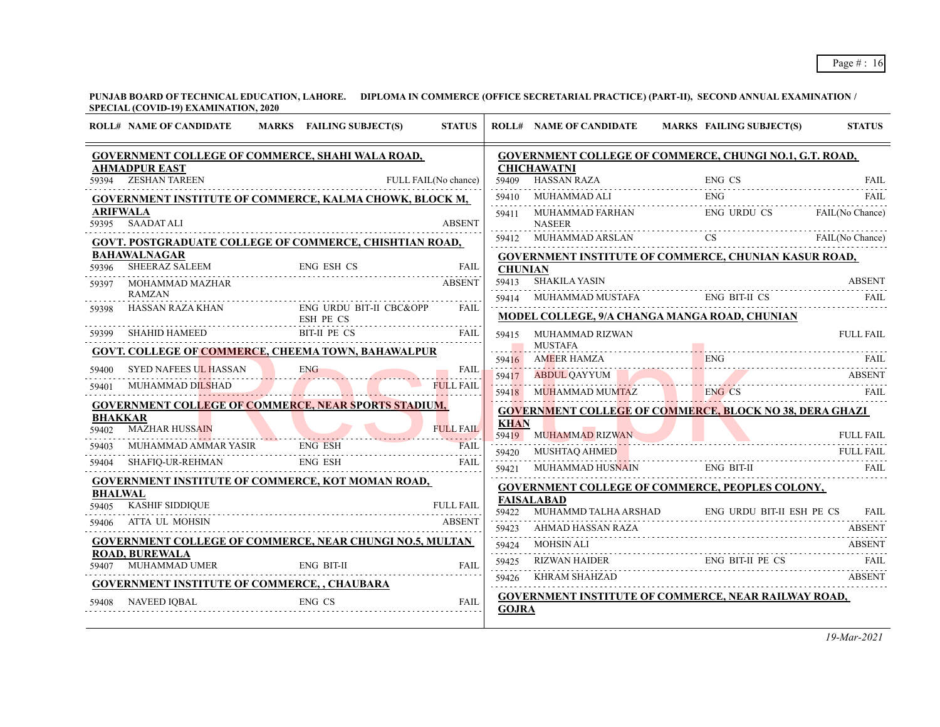**PUNJAB BOARD OF TECHNICAL EDUCATION, LAHORE. DIPLOMA IN COMMERCE (OFFICE SECRETARIAL PRACTICE) (PART-II), SECOND ANNUAL EXAMINATION / SPECIAL (COVID-19) EXAMINATION, 2020**

|                         | <b>ROLL# NAME OF CANDIDATE</b>                                  | MARKS FAILING SUBJECT(S)             | <b>STATUS</b>        |                | <b>ROLL# NAME OF CANDIDATE</b>                                                                                                                                                                                                                                                                                | MARKS FAILING SUBJECT(S)        |               | <b>STATUS</b>    |
|-------------------------|-----------------------------------------------------------------|--------------------------------------|----------------------|----------------|---------------------------------------------------------------------------------------------------------------------------------------------------------------------------------------------------------------------------------------------------------------------------------------------------------------|---------------------------------|---------------|------------------|
|                         | <b>GOVERNMENT COLLEGE OF COMMERCE, SHAHI WALA ROAD,</b>         |                                      |                      |                | <b>GOVERNMENT COLLEGE OF COMMERCE, CHUNGI NO.1, G.T. ROAD,</b>                                                                                                                                                                                                                                                |                                 |               |                  |
| 59394                   | <b>AHMADPUR EAST</b><br><b>ZESHAN TAREEN</b>                    |                                      | FULL FAIL(No chance) |                | <b>CHICHAWATNI</b><br>59409 HASSAN RAZA                                                                                                                                                                                                                                                                       | ENG CS                          |               | <b>FAIL</b>      |
|                         | GOVERNMENT INSTITUTE OF COMMERCE, KALMA CHOWK, BLOCK M,         |                                      |                      |                | $\begin{tabular}{lllllllll} \bf 59410 & \bf 10000 & \bf 10110 & \bf 10110 & \bf 10110 & \bf 10110 & \bf 10110 & \bf 10110 & \bf 10110 & \bf 101100 & \bf 101100 & \bf 101100 & \bf 101100 & \bf 101100 & \bf 101100 & \bf 101100 & \bf 101100 & \bf 101100 & \bf 101100 & \bf 101100 & \bf 101100 & \bf 1011$ |                                 |               |                  |
| <b>ARIFWALA</b>         |                                                                 |                                      |                      |                | 59411 MUHAMMAD FARHAN                                                                                                                                                                                                                                                                                         | ENG URDU CS FAIL(No Chance)     |               |                  |
| 59395                   | <b>SAADAT ALI</b>                                               |                                      | <b>ABSENT</b>        |                | <b>NASEER</b>                                                                                                                                                                                                                                                                                                 |                                 |               |                  |
|                         | <b>GOVT. POSTGRADUATE COLLEGE OF COMMERCE, CHISHTIAN ROAD,</b>  |                                      |                      |                | 59412 MUHAMMAD ARSLAN CS FAIL(No Chance)                                                                                                                                                                                                                                                                      |                                 |               |                  |
| 59396                   | <b>BAHAWALNAGAR</b><br>SHEERAZ SALEEM                           | ENG ESH CS<br>ENG ESH CS             | <b>FAIL</b>          | <b>CHUNIAN</b> | GOVERNMENT INSTITUTE OF COMMERCE, CHUNIAN KASUR ROAD,                                                                                                                                                                                                                                                         |                                 |               |                  |
| 59397                   | MOHAMMAD MAZHAR                                                 |                                      | <b>ABSENT</b>        | 59413          | <b>SHAKILA YASIN</b>                                                                                                                                                                                                                                                                                          |                                 |               | <b>ABSENT</b>    |
|                         | <b>RAMZAN</b>                                                   |                                      |                      |                | 59414 MUHAMMAD MUSTAFA ENG BIT-II CS                                                                                                                                                                                                                                                                          |                                 |               | <b>FAIL</b>      |
| 59398                   | HASSAN RAZA KHAN                                                | ENG URDU BIT-II CBC&OPP<br>ESH PE CS | FAIL                 |                | MODEL COLLEGE, 9/A CHANGA MANGA ROAD, CHUNIAN                                                                                                                                                                                                                                                                 |                                 |               |                  |
| 59399                   | SHAHID HAMEED BIT-II PE CS                                      |                                      | <b>FAIL</b>          | 59415          | MUHAMMAD RIZWAN                                                                                                                                                                                                                                                                                               |                                 |               | <b>FULL FAIL</b> |
|                         | GOVT. COLLEGE OF COMMERCE, CHEEMA TOWN, BAHAWALPUR              |                                      |                      |                | <b>MUSTAFA</b>                                                                                                                                                                                                                                                                                                |                                 |               |                  |
| 59400                   | SYED NAFEES UL HASSAN ENG                                       |                                      | FAIL                 |                |                                                                                                                                                                                                                                                                                                               |                                 |               |                  |
| 59401                   | MUHAMMAD DILSHAD                                                |                                      | <b>FULL FAIL</b>     |                | ENG CS FAIL THE MANUSCRIPT OF THE MANUSCRIPT OF THE MANUSCRIPT OF THE MANUSCRIPT OF THE MANUSCRIPT OF THE MANUSCRIPT OF THE MANUSCRIPT OF THE MANUSCRIPT OF THE MANUSCRIPT OF THE MANUSCRIPT OF THE MANUSCRIPT OF THE MANUSCRI                                                                                |                                 |               |                  |
|                         | <b>GOVERNMENT COLLEGE OF COMMERCE, NEAR SPORTS STADIUM,</b>     |                                      |                      |                |                                                                                                                                                                                                                                                                                                               |                                 |               |                  |
| <b>BHAKKAR</b>          |                                                                 |                                      |                      | <b>KHAN</b>    | <b>GOVERNMENT COLLEGE OF COMMERCE, BLOCK NO 38, DERA GHAZI</b>                                                                                                                                                                                                                                                |                                 |               |                  |
| 59402                   | <b>MAZHAR HUSSAIN</b>                                           |                                      | <b>FULL FAIL</b>     |                | 59419 MUHAMMAD RIZWAN                                                                                                                                                                                                                                                                                         |                                 |               | <b>FULL FAIL</b> |
| 59403                   | MUHAMMAD AMMAR YASIR ENG ESH                                    |                                      | <b>FAIL</b>          | 59420          | MUSHTAQ AHMED                                                                                                                                                                                                                                                                                                 | SHTAQ AHMED FULL FAIL FOUL FAIL |               | <b>FULL FAIL</b> |
| 59404                   | SHAFIQ-UR-REHMAN ENG ESH FAIL                                   |                                      | <b>FAIL</b>          |                | 59421 MUHAMMAD HUSNAIN                                                                                                                                                                                                                                                                                        | ENG BIT-II                      |               | FAIL             |
|                         | GOVERNMENT INSTITUTE OF COMMERCE, KOT MOMAN ROAD,               |                                      |                      |                | <b>GOVERNMENT COLLEGE OF COMMERCE, PEOPLES COLONY,</b>                                                                                                                                                                                                                                                        |                                 |               |                  |
| <b>BHALWAL</b><br>59405 | <b>KASHIF SIDDIQUE</b>                                          |                                      | <b>FULL FAIL</b>     |                | <b>FAISALABAD</b>                                                                                                                                                                                                                                                                                             |                                 |               |                  |
| 59406                   | ATTA UL MOHSIN                                                  |                                      | <b>ABSENT</b>        | 59422          | MUHAMMD TALHA ARSHAD ENG URDU BIT-II ESH PE CS FAIL<br>AHMAD HASSAN RAZA                                                                                                                                                                                                                                      |                                 |               |                  |
|                         | <b>GOVERNMENT COLLEGE OF COMMERCE, NEAR CHUNGI NO.5, MULTAN</b> |                                      |                      | 59423          |                                                                                                                                                                                                                                                                                                               |                                 |               | <b>ABSENT</b>    |
|                         | <b>ROAD, BUREWALA</b>                                           |                                      |                      | 59424          | MOHSIN ALI<br>ENG BIT-II PE CS<br>ENG BIT-II PE CS<br>ENGLY FAIL                                                                                                                                                                                                                                              |                                 |               | <b>ABSENT</b>    |
| 59407                   | MUHAMMAD UMER                                                   | ENG BIT-II                           | FAII.                | 59425          | 59426 KHRAM SHAHZAD                                                                                                                                                                                                                                                                                           |                                 | <b>ABSENT</b> |                  |
|                         | <b>GOVERNMENT INSTITUTE OF COMMERCE, , CHAUBARA</b>             |                                      |                      |                |                                                                                                                                                                                                                                                                                                               |                                 |               |                  |
| 59408                   | NAVEED IQBAL                                                    | <b>ENG CS</b>                        | <b>FAIL</b>          | <b>GOJRA</b>   | <b>GOVERNMENT INSTITUTE OF COMMERCE, NEAR RAILWAY ROAD,</b>                                                                                                                                                                                                                                                   |                                 |               |                  |
|                         |                                                                 |                                      |                      |                |                                                                                                                                                                                                                                                                                                               |                                 |               |                  |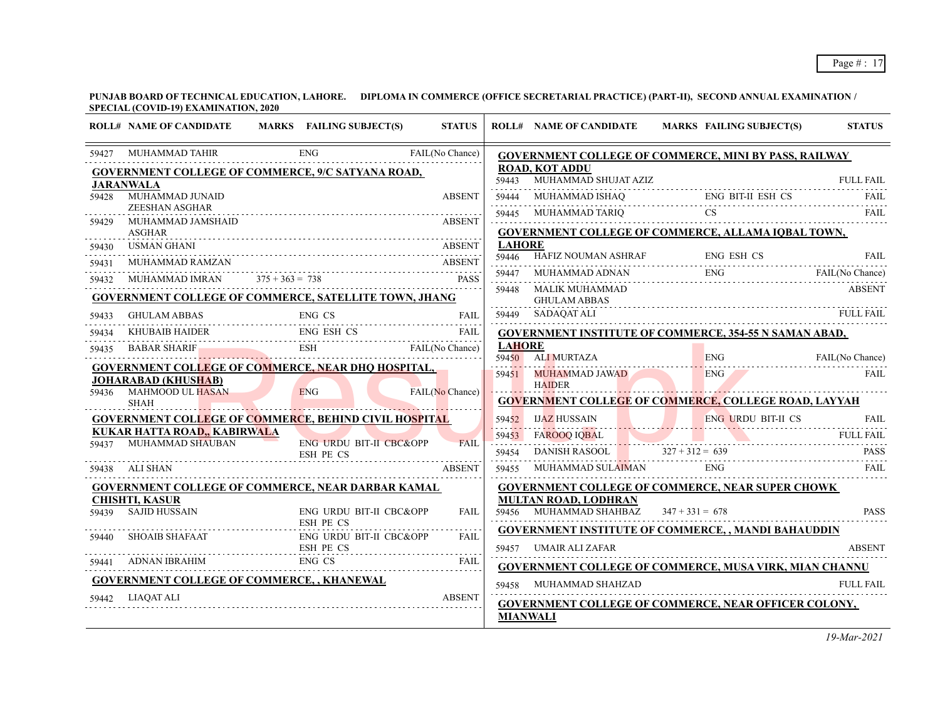|       | <b>ROLL# NAME OF CANDIDATE</b>                               |     | MARKS FAILING SUBJECT(S) | <b>STATUS</b>   |               | <b>ROLL# NAME OF CANDIDATE</b>                                                 | MARKS FAILING SUBJECT(S) | <b>STATUS</b>          |
|-------|--------------------------------------------------------------|-----|--------------------------|-----------------|---------------|--------------------------------------------------------------------------------|--------------------------|------------------------|
|       | 59427 MUHAMMAD TAHIR ENG FAIL (No Chance)                    |     |                          |                 |               | GOVERNMENT COLLEGE OF COMMERCE, MINI BY PASS, RAILWAY                          |                          |                        |
|       | <b>GOVERNMENT COLLEGE OF COMMERCE, 9/C SATYANA ROAD,</b>     |     |                          |                 | 59443         | <b>ROAD, KOT ADDU</b>                                                          |                          |                        |
|       | <b>JARANWALA</b><br>59428 MUHAMMAD JUNAID                    |     |                          | <b>ABSENT</b>   | 59444         | MUHAMMAD SHUJAT AZIZ FULL FAIL FULL FAIL MUHAMMAD ISHAQ ENG BIT-II ESH CS FAIL |                          |                        |
|       | ZEESHAN ASGHAR                                               |     |                          |                 | 59445         |                                                                                |                          | <b>FAIL</b>            |
| 59429 | MUHAMMAD JAMSHAID<br><b>ASGHAR</b>                           |     |                          | <b>ABSENT</b>   |               | <b>GOVERNMENT COLLEGE OF COMMERCE, ALLAMA IQBAL TOWN,</b>                      |                          |                        |
| 59430 | USMAN GHANI                                                  |     |                          | <b>ABSENT</b>   | <b>LAHORE</b> |                                                                                |                          |                        |
| 59431 | MUHAMMAD RAMZAN                                              |     |                          | <b>ABSENT</b>   | 59446         | HAFIZ NOUMAN ASHRAF ENG ESH CS                                                 |                          | FAIL                   |
| 59432 |                                                              |     |                          |                 | 59447         | MUHAMMAD ADNAN ENG<br>ENG FAIL(No Chance)                                      |                          |                        |
|       | <b>GOVERNMENT COLLEGE OF COMMERCE, SATELLITE TOWN, JHANG</b> |     |                          |                 | 59448         | MALIK MUHAMMAD<br><b>GHULAM ABBAS</b>                                          |                          | <b>ABSENT</b>          |
| 59433 | GHULAM ABBAS                                                 |     | ENG CS                   | FAIL            |               | 59449 SADAQAT ALI                                                              |                          | <b>FULL FAIL</b>       |
| 59434 |                                                              |     |                          |                 |               | <b>GOVERNMENT INSTITUTE OF COMMERCE, 354-55 N SAMAN ABAD,</b>                  |                          |                        |
| 59435 | ENG ESH CS FAIL BABAR SHARIF ESH ESH FAIL(No Chance)         |     |                          |                 | <b>LAHORE</b> |                                                                                |                          |                        |
|       | <b>GOVERNMENT COLLEGE OF COMMERCE, NEAR DHQ HOSPITAL,</b>    |     |                          |                 |               | 59450 ALI MURTAZA                                                              |                          | ENG<br>FAIL(No Chance) |
|       | <b>JOHARABAD (KHUSHAB)</b>                                   |     |                          |                 | 59451         | <b>MUHAMMAD JAWAD</b><br><b>HAIDER</b>                                         | ENG 7                    | <b>FAIL</b>            |
| 59436 | MAHMOOD UL HASAN<br><b>SHAH</b>                              | ENG |                          | FAIL(No Chance) |               | <b>GOVERNMENT COLLEGE OF COMMERCE, COLLEGE ROAD, LAYYAH</b>                    |                          |                        |
|       | <b>GOVERNMENT COLLEGE OF COMMERCE, BEHIND CIVIL HOSPITAL</b> |     |                          |                 |               | 59452 IJAZ HUSSAIN ENG URDU BIT-II CS FAIL                                     |                          |                        |
|       | KUKAR HATTA ROAD,, KABIRWALA                                 |     |                          | <b>FAIL</b>     |               | 59453 FAROOQ IQBAL FULL FAIL FULL FAIL                                         |                          |                        |
| 59437 | MUHAMMAD SHAUBAN<br>ESH PE CS<br>SHAN                        |     | ENG URDU BIT-II CBC&OPP  |                 | 59454         | <del>.</del><br>DANISH RASOOL $327 + 312 = 639$ PASS                           |                          |                        |
|       | 59438 ALI SHAN                                               |     |                          | <b>ABSENT</b>   | 59455         | MUHAMMAD SULAIMAN ENG                                                          |                          | <b>FAIL</b>            |
|       | <b>GOVERNMENT COLLEGE OF COMMERCE, NEAR DARBAR KAMAL</b>     |     |                          |                 |               | <b>GOVERNMENT COLLEGE OF COMMERCE, NEAR SUPER CHOWK</b>                        |                          |                        |
|       | <b>CHISHTI, KASUR</b><br><b>SAJID HUSSAIN</b>                |     |                          |                 |               | <b>MULTAN ROAD, LODHRAN</b>                                                    |                          | <b>PASS</b>            |
| 59439 | ESH PE CS                                                    |     | ENG URDU BIT-II CBC&OPP  | <b>FAIL</b>     |               | 59456 MUHAMMAD SHAHBAZ $347 + 331 = 678$                                       |                          |                        |
| 59440 | SHOAIB SHAFAAT ENG URDU BIT-II CBC&OPP ESH PE CS             |     |                          | <b>FAIL</b>     |               | <b>GOVERNMENT INSTITUTE OF COMMERCE, , MANDI BAHAUDDIN</b>                     |                          |                        |
|       |                                                              |     |                          | <b>FAIL</b>     |               | 59457 UMAIR ALI ZAFAR                                                          |                          | <b>ABSENT</b>          |
|       | 59441 ADNAN IBRAHIM ENG CS FAIL                              |     |                          |                 |               | <b>GOVERNMENT COLLEGE OF COMMERCE, MUSA VIRK, MIAN CHANNU</b>                  |                          |                        |
|       | <b>GOVERNMENT COLLEGE OF COMMERCE,, KHANEWAL</b>             |     |                          |                 |               | 59458 MUHAMMAD SHAHZAD                                                         |                          | <b>FULL FAIL</b>       |
| 59442 | LIAQAT ALI                                                   |     |                          | <b>ABSENT</b>   |               | <b>GOVERNMENT COLLEGE OF COMMERCE, NEAR OFFICER COLONY,</b>                    |                          |                        |
|       |                                                              |     |                          |                 |               | <b>MIANWALI</b>                                                                |                          |                        |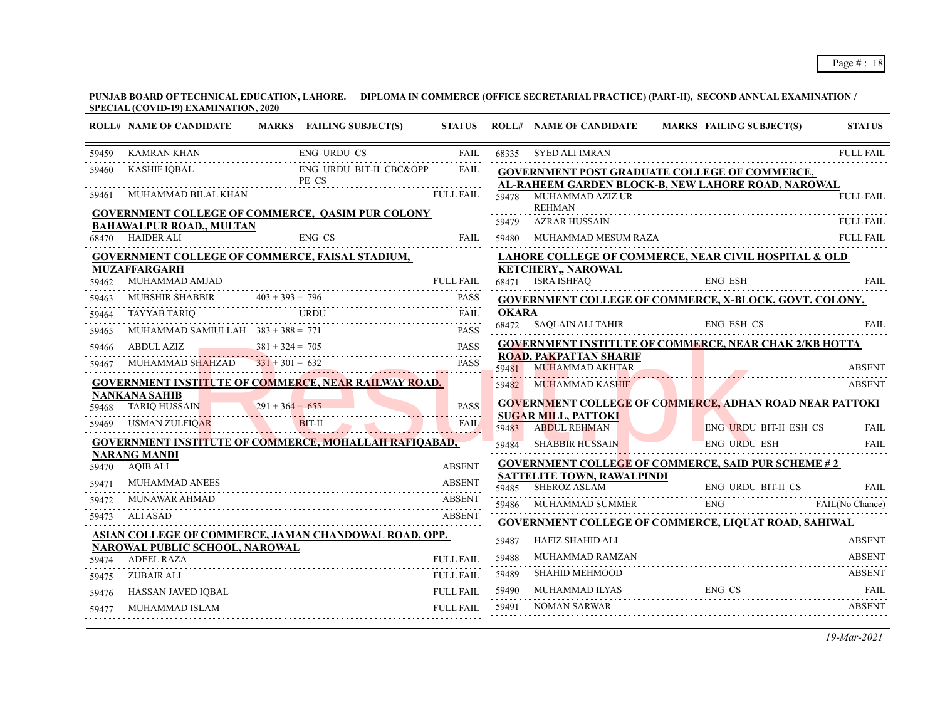|       | <b>ROLL# NAME OF CANDIDATE</b>                                         |                   | MARKS FAILING SUBJECT(S)                                                                                                                                                                                                                                                                                                                                                                                                                                                                      | <b>STATUS</b>    |              | <b>ROLL# NAME OF CANDIDATE</b>                                                     | <b>MARKS FAILING SUBJECT(S)</b> | <b>STATUS</b>    |
|-------|------------------------------------------------------------------------|-------------------|-----------------------------------------------------------------------------------------------------------------------------------------------------------------------------------------------------------------------------------------------------------------------------------------------------------------------------------------------------------------------------------------------------------------------------------------------------------------------------------------------|------------------|--------------|------------------------------------------------------------------------------------|---------------------------------|------------------|
| 59459 | <b>KAMRAN KHAN</b>                                                     |                   | <b>ENG URDU CS</b>                                                                                                                                                                                                                                                                                                                                                                                                                                                                            | <b>FAIL</b>      |              | 68335 SYED ALI IMRAN                                                               |                                 | <b>FULL FAIL</b> |
| 59460 | KASHIF IQBAL                                                           |                   | ENG URDU BIT-II CBC&OPP<br>PE CS                                                                                                                                                                                                                                                                                                                                                                                                                                                              | FAIL             |              | <b>GOVERNMENT POST GRADUATE COLLEGE OF COMMERCE,</b>                               |                                 |                  |
| 59461 |                                                                        |                   | MUHAMMAD BILAL KHAN FULL FAIL FAIL                                                                                                                                                                                                                                                                                                                                                                                                                                                            |                  |              | AL-RAHEEM GARDEN BLOCK-B, NEW LAHORE ROAD, NAROWAL<br>59478 MUHAMMAD AZIZ UR       |                                 | <b>FULL FAIL</b> |
|       |                                                                        |                   | <b>GOVERNMENT COLLEGE OF COMMERCE, QASIM PUR COLONY</b>                                                                                                                                                                                                                                                                                                                                                                                                                                       |                  |              | <b>REHMAN</b><br>59479 AZRAR HUSSAIN                                               |                                 | FULL FAIL        |
|       | <b>BAHAWALPUR ROAD,, MULTAN</b><br>68470 HAIDER ALI                    |                   | ENG CS                                                                                                                                                                                                                                                                                                                                                                                                                                                                                        |                  |              |                                                                                    |                                 |                  |
|       |                                                                        |                   |                                                                                                                                                                                                                                                                                                                                                                                                                                                                                               | FAIL             |              | 59480 MUHAMMAD MESUM RAZA FULL FAIL                                                |                                 |                  |
|       | GOVERNMENT COLLEGE OF COMMERCE, FAISAL STADIUM,<br><b>MUZAFFARGARH</b> |                   |                                                                                                                                                                                                                                                                                                                                                                                                                                                                                               |                  |              | LAHORE COLLEGE OF COMMERCE, NEAR CIVIL HOSPITAL & OLD<br><b>KETCHERY,, NAROWAL</b> |                                 |                  |
| 59462 | MUHAMMAD AMJAD                                                         |                   |                                                                                                                                                                                                                                                                                                                                                                                                                                                                                               | <b>FULL FAIL</b> |              | 68471 ISRA ISHFAO                                                                  | <b>ENG ESH</b>                  | <b>FAIL</b>      |
| 59463 |                                                                        |                   | MUBSHIR SHABBIR 403 + 393 = 796 PASS                                                                                                                                                                                                                                                                                                                                                                                                                                                          |                  |              | <b>GOVERNMENT COLLEGE OF COMMERCE, X-BLOCK, GOVT. COLONY,</b>                      |                                 |                  |
| 59464 |                                                                        |                   | $\begin{tabular}{ll} TAYYAB TARIQ & & URDU & FAIL \\ \hline \end{tabular} \begin{tabular}{ll} \begin{tabular}{ll} \multicolumn{3}{l}{{\textbf{FARIQ}}} \\ \multicolumn{3}{l}{\textbf{FARIQ}} \\ \multicolumn{3}{l}{\textbf{TARIQ}} \\ \multicolumn{3}{l}{\textbf{TARIQ}} \\ \multicolumn{3}{l}{\textbf{TARIQ}} \\ \multicolumn{3}{l}{\textbf{AIC}} \\ \multicolumn{3}{l}{\textbf{TARIQ}} \\ \multicolumn{3}{l}{\textbf{AIC}} \\ \multicolumn{3}{l}{\textbf{AIC}} \\ \multicolumn{3}{l}{\text$ |                  | <b>OKARA</b> |                                                                                    |                                 |                  |
| 59465 | MUHAMMAD SAMIULLAH $383 + 388 = 771$                                   |                   |                                                                                                                                                                                                                                                                                                                                                                                                                                                                                               | <b>PASS</b>      |              | 68472 SAQLAIN ALI TAHIR                                                            | ENG ESH CS                      | FAII.            |
| 59466 |                                                                        |                   | ABDUL AZIZ $381 + 324 = 705$ PASS                                                                                                                                                                                                                                                                                                                                                                                                                                                             |                  |              | <b>GOVERNMENT INSTITUTE OF COMMERCE, NEAR CHAK 2/KB HOTTA</b>                      |                                 |                  |
| 59467 | MUHAMMAD SHAHZAD                                                       |                   | $331 + 301 = 632$                                                                                                                                                                                                                                                                                                                                                                                                                                                                             | <b>PASS</b>      |              | <b>ROAD, PAKPATTAN SHARIF</b><br>59481 MUHAMMAD AKHTAR                             |                                 | <b>ABSENT</b>    |
|       |                                                                        |                   | <b>GOVERNMENT INSTITUTE OF COMMERCE, NEAR RAILWAY ROAD,</b>                                                                                                                                                                                                                                                                                                                                                                                                                                   |                  | 59482        | <b>MUHAMMAD KASHIF</b>                                                             |                                 | <b>ABSENT</b>    |
|       | <b>NANKANA SAHIB</b>                                                   |                   |                                                                                                                                                                                                                                                                                                                                                                                                                                                                                               |                  |              | <b>GOVERNMENT COLLEGE OF COMMERCE, ADHAN ROAD NEAR PATTOKI</b>                     |                                 |                  |
| 59468 | <b>TARIO HUSSAIN</b>                                                   | $291 + 364 = 655$ |                                                                                                                                                                                                                                                                                                                                                                                                                                                                                               | <b>PASS</b><br>. |              | <b>SUGAR MILL, PATTOKI</b>                                                         |                                 |                  |
| 59469 | AR<br><b>USMAN ZULFIQAR</b>                                            |                   | BIT-II                                                                                                                                                                                                                                                                                                                                                                                                                                                                                        | <b>FAIL</b>      | 59483        | <b>ABDUL REHMAN</b>                                                                | <b>ENG URDU BIT-II ESH CS</b>   | FAIL             |
|       | <b>NARANG MANDI</b>                                                    |                   | GOVERNMENT INSTITUTE OF COMMERCE, MOHALLAH RAFIQABAD,                                                                                                                                                                                                                                                                                                                                                                                                                                         |                  | 59484        | SHABBIR HUSSAIN                                                                    | <b>ENG URDU ESH</b>             | <b>FAIL</b>      |
|       | 59470 AQIB ALI                                                         |                   |                                                                                                                                                                                                                                                                                                                                                                                                                                                                                               | <b>ABSENT</b>    |              | <b>GOVERNMENT COLLEGE OF COMMERCE, SAID PUR SCHEME #2</b>                          |                                 |                  |
| 59471 | MUHAMMAD ANEES                                                         |                   |                                                                                                                                                                                                                                                                                                                                                                                                                                                                                               | ABSENT           | 59485        | <b>SATTELITE TOWN, RAWALPINDI</b><br>SHEROZ ASLAM                                  | ENG URDU BIT-II CS              | <b>FAIL</b>      |
| 59472 | <b>MUNAWAR AHMAD</b>                                                   |                   |                                                                                                                                                                                                                                                                                                                                                                                                                                                                                               |                  | 59486        | MUHAMMAD SUMMER                                                                    | SUMMER ENG FAIL(No Chance)      |                  |
| 59473 | ALI ASAD                                                               |                   |                                                                                                                                                                                                                                                                                                                                                                                                                                                                                               | <b>ABSENT</b>    |              | <b>GOVERNMENT COLLEGE OF COMMERCE, LIQUAT ROAD, SAHIWAL</b>                        |                                 |                  |
|       |                                                                        |                   | ASIAN COLLEGE OF COMMERCE, JAMAN CHANDOWAL ROAD, OPP.                                                                                                                                                                                                                                                                                                                                                                                                                                         |                  | 59487        | <b>HAFIZ SHAHID ALI</b>                                                            |                                 | <b>ABSENT</b>    |
|       | NAROWAL PUBLIC SCHOOL, NAROWAL<br>59474 ADEEL RAZA                     |                   |                                                                                                                                                                                                                                                                                                                                                                                                                                                                                               | <b>FULL FAIL</b> | 59488        | MUHAMMAD RAMZAN                                                                    |                                 | <b>ABSENT</b>    |
| 59475 | <b>ZUBAIR ALI</b>                                                      |                   |                                                                                                                                                                                                                                                                                                                                                                                                                                                                                               | <b>FULL FAIL</b> | 59489        | <b>SHAHID MEHMOOD</b>                                                              |                                 | ABSENT           |
| 59476 | HASSAN JAVED IQBAL                                                     |                   |                                                                                                                                                                                                                                                                                                                                                                                                                                                                                               | <b>FULL FAIL</b> | 59490        | MUHAMMAD ILYAS                                                                     | ABSENT<br>ENG CS                |                  |
| 59477 | MUHAMMAD ISLAM                                                         |                   |                                                                                                                                                                                                                                                                                                                                                                                                                                                                                               | <b>FULL FAIL</b> | 59491        | NOMAN SARWAR                                                                       |                                 | <b>ABSENT</b>    |
|       |                                                                        |                   |                                                                                                                                                                                                                                                                                                                                                                                                                                                                                               |                  |              |                                                                                    |                                 |                  |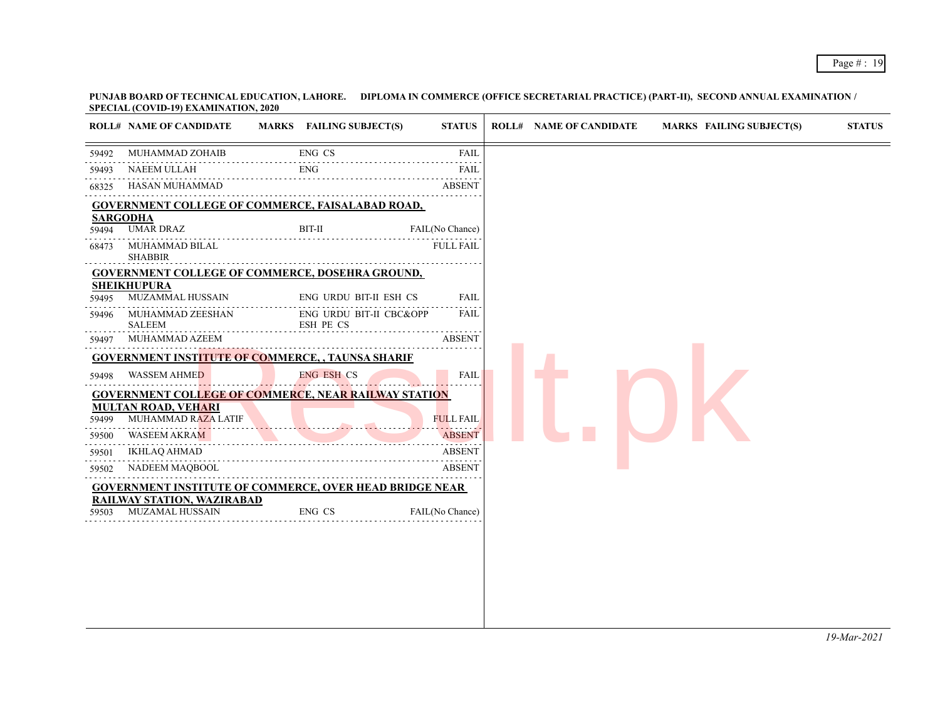|       | <b>ROLL# NAME OF CANDIDATE</b>                                 | MARKS FAILING SUBJECT(S)                  | <b>STATUS</b>    | <b>ROLL# NAME OF CANDIDATE</b> | MARKS FAILING SUBJECT(S) |  |
|-------|----------------------------------------------------------------|-------------------------------------------|------------------|--------------------------------|--------------------------|--|
|       | MUHAMMAD ZOHAIB                                                | ENG CS                                    | <b>FAIL</b>      |                                |                          |  |
| 59493 | NAEEM ULLAH                                                    | <b>ENG</b>                                | <b>FAIL</b>      |                                |                          |  |
| 68325 | HASAN MUHAMMAD                                                 |                                           | <b>ABSENT</b>    |                                |                          |  |
|       | <b>GOVERNMENT COLLEGE OF COMMERCE, FAISALABAD ROAD,</b>        |                                           |                  |                                |                          |  |
| 59494 | <b>SARGODHA</b><br><b>UMAR DRAZ</b>                            | BIT-II                                    | FAIL(No Chance)  |                                |                          |  |
| 68473 | MUHAMMAD BILAL<br><b>SHABBIR</b>                               |                                           | <b>FULL FAIL</b> |                                |                          |  |
|       | <b>GOVERNMENT COLLEGE OF COMMERCE, DOSEHRA GROUND,</b>         |                                           |                  |                                |                          |  |
| 59495 | <b>SHEIKHUPURA</b><br>MUZAMMAL HUSSAIN                         | ENG URDU BIT-II ESH CS                    | <b>FAIL</b>      |                                |                          |  |
| 59496 | MUHAMMAD ZEESHAN<br><b>SALEEM</b>                              | ENG URDU BIT-II CBC&OPP<br>ESH PE CS<br>. | <b>FAIL</b>      |                                |                          |  |
| 59497 | MUHAMMAD AZEEM                                                 |                                           | <b>ABSENT</b>    |                                |                          |  |
|       | <b>GOVERNMENT INSTITUTE OF COMMERCE, , TAUNSA SHARIF</b>       |                                           |                  |                                |                          |  |
| 59498 | <b>WASSEM AHMED</b>                                            | <b>ENG ESH CS</b>                         | FAIL             |                                |                          |  |
|       | <b>GOVERNMENT COLLEGE OF COMMERCE, NEAR RAILWAY STATION</b>    |                                           |                  |                                |                          |  |
| 59499 | <b>MULTAN ROAD, VEHARI</b><br>MUHAMMAD RAZA LATIF              |                                           | <b>FULL FAIL</b> |                                |                          |  |
| 59500 | WASEEM AKRAM                                                   |                                           | <b>ABSENT</b>    |                                |                          |  |
| 59501 | <b>IKHLAQ AHMAD</b>                                            |                                           | <b>ABSENT</b>    |                                |                          |  |
| 59502 | NADEEM MAQBOOL                                                 |                                           | <b>ABSENT</b>    |                                |                          |  |
|       | <b>GOVERNMENT INSTITUTE OF COMMERCE, OVER HEAD BRIDGE NEAR</b> |                                           |                  |                                |                          |  |
|       | <b>RAILWAY STATION, WAZIRABAD</b>                              | ENG CS                                    | FAIL(No Chance)  |                                |                          |  |
| 59503 | MUZAMAL HUSSAIN                                                |                                           |                  |                                |                          |  |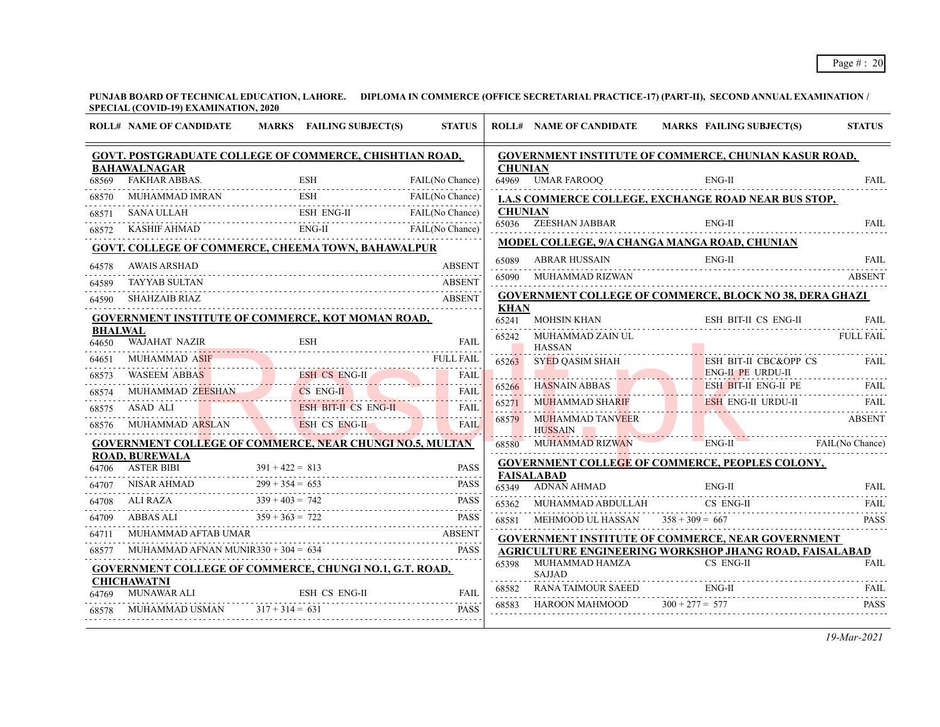|                | <b>ROLL# NAME OF CANDIDATE</b>                                                                                                                                                                                                                                       | MARKS FAILING SUBJECT(S)  | <b>STATUS</b>   |                | <b>ROLL# NAME OF CANDIDATE</b>           | <b>MARKS FAILING SUBJECT(S)</b>                                                                 | <b>STATUS</b>    |
|----------------|----------------------------------------------------------------------------------------------------------------------------------------------------------------------------------------------------------------------------------------------------------------------|---------------------------|-----------------|----------------|------------------------------------------|-------------------------------------------------------------------------------------------------|------------------|
|                | GOVT. POSTGRADUATE COLLEGE OF COMMERCE, CHISHTIAN ROAD,                                                                                                                                                                                                              |                           |                 |                |                                          | <b>GOVERNMENT INSTITUTE OF COMMERCE, CHUNIAN KASUR ROAD,</b>                                    |                  |
| 68569          | <b>BAHAWALNAGAR</b>                                                                                                                                                                                                                                                  |                           | FAIL(No Chance) | <b>CHUNIAN</b> | 64969 UMAR FAROOQ                        | $ENG-II$                                                                                        | <b>FAIL</b>      |
| 68570          | FAKHAR ABBAS.<br>MUHAMMAD IMRAN ESH FAIL(No Chance)                                                                                                                                                                                                                  |                           | FAIL(No Chance) |                |                                          |                                                                                                 |                  |
| 68571          |                                                                                                                                                                                                                                                                      |                           |                 | <b>CHUNIAN</b> |                                          | <b>I.A.S COMMERCE COLLEGE, EXCHANGE ROAD NEAR BUS STOP,</b>                                     |                  |
| 68572          | ESH ENG-II FAIL(No Chance)<br>572 KASHIF AHMAD ENG-II FAIL(No Chance)<br>572 KASHIF AHMAD ENG-II FAIL(No Chance)                                                                                                                                                     |                           |                 |                | 65036 ZEESHAN JABBAR                     | ENG-II                                                                                          | FAIL             |
|                | GOVT. COLLEGE OF COMMERCE, CHEEMA TOWN, BAHAWALPUR                                                                                                                                                                                                                   |                           |                 |                |                                          | MODEL COLLEGE, 9/A CHANGA MANGA ROAD, CHUNIAN                                                   |                  |
|                | AWAIS ARSHAD                                                                                                                                                                                                                                                         |                           | <b>ABSENT</b>   | 65089          |                                          |                                                                                                 |                  |
| 64578<br>64589 | <b>TAYYAB SULTAN</b>                                                                                                                                                                                                                                                 |                           | <b>ABSENT</b>   |                | 65090 MUHAMMAD RIZWAN                    |                                                                                                 | <b>ABSENT</b>    |
| 64590          | <b>SHAHZAIB RIAZ</b>                                                                                                                                                                                                                                                 |                           |                 |                |                                          | <b>GOVERNMENT COLLEGE OF COMMERCE, BLOCK NO 38, DERA GHAZI</b>                                  |                  |
|                |                                                                                                                                                                                                                                                                      |                           |                 | <b>KHAN</b>    |                                          |                                                                                                 |                  |
| <b>BHALWAL</b> | <b>GOVERNMENT INSTITUTE OF COMMERCE, KOT MOMAN ROAD,</b>                                                                                                                                                                                                             |                           |                 |                |                                          | 65241 MOHSIN KHAN ESH BIT-II CS ENG-II                                                          | FAIL             |
| 64650          | WAJAHAT NAZIR<br>64650 WAJAHAT NAZIR ESH FAIL FAIL                                                                                                                                                                                                                   |                           | FAIL            |                | 65242 MUHAMMAD ZAIN UL<br><b>HASSAN</b>  |                                                                                                 | <b>FULL FAIL</b> |
| 64651          | MUHAMMAD ASIF FULL FAIL<br>MUHAMMAD ASIF                                                                                                                                                                                                                             |                           |                 |                | 65263 SYED QASIM SHAH                    | ESH BIT-II CBC&OPP CS                                                                           | <b>FAIL</b>      |
|                |                                                                                                                                                                                                                                                                      |                           |                 |                | <u> 17. marca 17. marca 1</u>            | <b>ENG-II PE URDU-II</b>                                                                        |                  |
|                | $\begin{tabular}{llllllll} \hline 68573 & WASEEM ABBAS & \textcolor{red}{\textbf{ESH CS ENG-II}} & \textcolor{red}{\textbf{FAIL}} \\ \hline 68574 & MUHAMMAD ZEESHAN & \textcolor{red}{\textbf{CS ENG-II}} & \textcolor{red}{\textbf{FAIL}} \\ \hline \end{tabular}$ |                           |                 |                | 65266 HASNAIN ABBAS                      | ESH BIT-II ENG-II PE                                                                            |                  |
| 68575          | ASAD ALI                                                                                                                                                                                                                                                             | ESH BIT-II CS ENG-II FAIL |                 | 65271          | MUHAMMAD SHARIF                          | ESH ENG-II URDU-II FAIL                                                                         |                  |
| 68576          | MUHAMMAD ARSLAN ESH CS ENG-II                                                                                                                                                                                                                                        |                           |                 |                | 68579 MUHAMMAD TANVEER<br><b>HUSSAIN</b> |                                                                                                 | <b>ABSENT</b>    |
|                | <b>GOVERNMENT COLLEGE OF COMMERCE, NEAR CHUNGI NO.5, MULTAN</b>                                                                                                                                                                                                      |                           |                 |                |                                          | 68580 MUHAMMAD RIZWAN ENG-II FAIL(No Chance)                                                    |                  |
|                | <b>ROAD, BUREWALA</b>                                                                                                                                                                                                                                                |                           |                 |                |                                          | <b>GOVERNMENT COLLEGE OF COMMERCE, PEOPLES COLONY,</b>                                          |                  |
| 64707          | 64706 ASTER BIBI $391 + 422 = 813$ PASS<br>707 NISAR AHMAD $299 + 354 = 653$ PASS PASS                                                                                                                                                                               |                           |                 |                | <b>FAISALABAD</b><br>65349 ADNAN AHMAD   | $ENG-II$                                                                                        |                  |
|                |                                                                                                                                                                                                                                                                      |                           |                 |                |                                          | 65349 ADNAN AHMAD ENG-II FAIL FAIL<br>CS ENG-II                                                 | FAIL.            |
|                | $\begin{tabular}{ll} 64708 & ALI RAZA & 339 + 403 = 742 & \text{PASS} \\ 64709 & ABBAS ALL & 359 + 363 = 722 & \text{PASS} \\ 64711 & MUHAMMAD AFTAB UMAR & & & \text{ABSENT} \end{tabular}$                                                                         |                           |                 | 68581          | 65362 MUHAMMAD ABDULLAH                  |                                                                                                 | <b>PASS</b>      |
|                |                                                                                                                                                                                                                                                                      |                           |                 |                |                                          | MEHMOOD UL HASSAN $358 + 309 = 667$<br><b>GOVERNMENT INSTITUTE OF COMMERCE, NEAR GOVERNMENT</b> |                  |
| 68577          | $MUHAMMAD AFNAN MUNIR330 + 304 = 634 PASS$                                                                                                                                                                                                                           |                           |                 |                |                                          | AGRICULTURE ENGINEERING WORKSHOP JHANG ROAD, FAISALABAD                                         |                  |
|                | <b>GOVERNMENT COLLEGE OF COMMERCE, CHUNGI NO.1, G.T. ROAD,</b>                                                                                                                                                                                                       |                           |                 | 65398          | MUHAMMAD HAMZA                           | CS ENG-II                                                                                       | <b>FAIL</b>      |
|                | <b>CHICHAWATNI</b>                                                                                                                                                                                                                                                   |                           |                 | 68582          | <b>SAJJAD</b>                            | $ENG-II$                                                                                        |                  |
| 64769          | MUNAWAR ALI ESH CS ENG-II FAIL                                                                                                                                                                                                                                       |                           |                 | 68583          | HAROON MAHMOOD $300 + 277 = 577$         | RANA TAIMOUR SAEED ENG-II FAIL FAIL                                                             | <b>PASS</b>      |
|                | MUHAMMAD USMAN $317 + 314 = 631$<br>IUHAMMAD USMAN $317 + 314 = 631$ PASS                                                                                                                                                                                            |                           |                 |                |                                          |                                                                                                 |                  |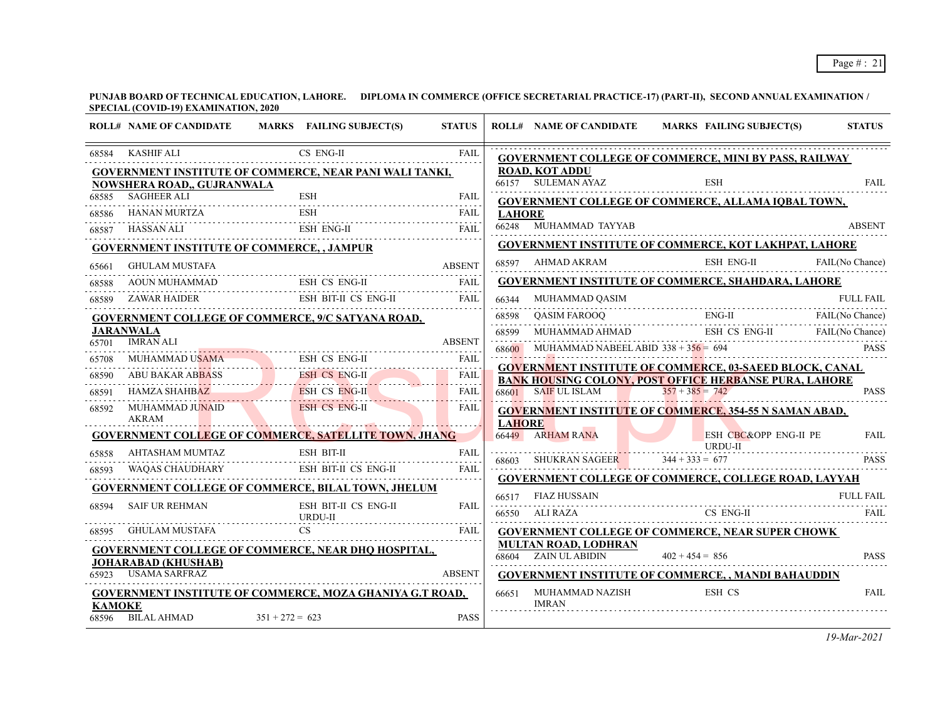|               | <b>ROLL# NAME OF CANDIDATE</b>                    | MARKS FAILING SUBJECT(S)                                                                                     | <b>STATUS</b> |               | <b>ROLL# NAME OF CANDIDATE</b>         | MARKS FAILING SUBJECT(S)                                       | <b>STATUS</b>                   |
|---------------|---------------------------------------------------|--------------------------------------------------------------------------------------------------------------|---------------|---------------|----------------------------------------|----------------------------------------------------------------|---------------------------------|
| 68584         | KASHIF ALI                                        | CS ENG-II                                                                                                    | FAIL          |               |                                        | <b>GOVERNMENT COLLEGE OF COMMERCE, MINI BY PASS, RAILWAY</b>   |                                 |
|               |                                                   | <b>GOVERNMENT INSTITUTE OF COMMERCE, NEAR PANI WALI TANKI,</b>                                               |               |               | <b>ROAD, KOT ADDU</b>                  |                                                                |                                 |
|               | NOWSHERA ROAD,, GUJRANWALA<br>68585 SAGHEER ALI   | <b>ESH</b>                                                                                                   | <b>FAIL</b>   |               | 66157 SULEMAN AYAZ                     | ESH                                                            | <b>FAIL</b>                     |
| 68586         |                                                   | ESH                                                                                                          |               | <b>LAHORE</b> |                                        | GOVERNMENT COLLEGE OF COMMERCE, ALLAMA IQBAL TOWN,             |                                 |
| 68587         | HASSAN ALI                                        | HANAN MURTZA ESH FAIL                                                                                        | <b>FAIL</b>   |               | 66248 MUHAMMAD TAYYAB                  |                                                                | <b>ABSENT</b>                   |
|               | <b>GOVERNMENT INSTITUTE OF COMMERCE, , JAMPUR</b> |                                                                                                              |               |               |                                        | <b>GOVERNMENT INSTITUTE OF COMMERCE, KOT LAKHPAT, LAHORE</b>   |                                 |
| 65661         | <b>GHULAM MUSTAFA</b>                             |                                                                                                              | <b>ABSENT</b> |               | 68597 AHMAD AKRAM                      | ESH ENG-II FAIL(No Chance)                                     |                                 |
| 68588         | AOUN MUHAMMAD                                     | MUHAMMAD ESH CS ENG-II                                                                                       | FAII.         |               |                                        | <b>GOVERNMENT INSTITUTE OF COMMERCE, SHAHDARA, LAHORE</b>      |                                 |
| 68589         |                                                   | ZAWAR HAIDER ESH BIT-II CS ENG-II                                                                            | FAII.         |               | 66344 MUHAMMAD QASIM                   | ,<br>                                                          | <b>FULL FAIL</b>                |
|               |                                                   | <b>GOVERNMENT COLLEGE OF COMMERCE, 9/C SATYANA ROAD,</b>                                                     |               | 68598         |                                        |                                                                |                                 |
|               | <b>JARANWALA</b>                                  |                                                                                                              |               | 68599         |                                        | WHAMMAD AHMAD ENG-II FAIL(No Chance)                           |                                 |
| 65701         | <b>IMRAN ALI</b>                                  |                                                                                                              |               | 68600         |                                        | MUHAMMAD NABEEL ABID $338 + 356 = 694$                         | <b>PASS</b>                     |
|               |                                                   | 65708 MUHAMMAD USAMA ESH CS ENG-II FAIL                                                                      |               |               |                                        | <b>GOVERNMENT INSTITUTE OF COMMERCE, 03-SAEED BLOCK, CANAL</b> |                                 |
| 68590         |                                                   | ABU BAKAR ABBASS ESH CS ENG-II FAIL FAIL HAMZA SHAHBAZ                                                       |               |               |                                        | <b>BANK HOUSING COLONY, POST OFFICE HERBANSE PURA, LAHORE</b>  |                                 |
| 68591         |                                                   |                                                                                                              |               |               | 68601 SAIF UL ISLAM $357 + 385 = 742$  |                                                                | <b>PASS</b>                     |
| 68592         |                                                   | MUHAMMAD JUNAID ESH CS ENG-II FAIL                                                                           | <b>FAIL</b>   | <b>LAHORE</b> |                                        | <b>GOVERNMENT INSTITUTE OF COMMERCE, 354-55 N SAMAN ABAD,</b>  |                                 |
|               |                                                   | <b>GOVERNMENT COLLEGE OF COMMERCE, SATELLITE TOWN, JHANG</b>                                                 |               |               | 66449 ARHAM RANA                       | ESH CBC&OPP ENG-II PE                                          | <b>FAIL</b>                     |
| 65858         | AHTASHAM MUMTAZ                                   | $\begin{minipage}{.4\linewidth} \hspace*{0.2cm} \textbf{ESH} \hspace*{0.2cm} \textbf{BIT-II} \end{minipage}$ | FAII.         |               |                                        | URDU-II                                                        |                                 |
| 68593         |                                                   | WAQAS CHAUDHARY ESH BIT-II CS ENG-II                                                                         | FAIL          |               | 68603 SHUKRAN SAGEER $344 + 333 = 677$ |                                                                | <b>PASS</b>                     |
|               |                                                   | <b>GOVERNMENT COLLEGE OF COMMERCE, BILAL TOWN, JHELUM</b>                                                    |               |               |                                        | <b>GOVERNMENT COLLEGE OF COMMERCE, COLLEGE ROAD, LAYYAH</b>    |                                 |
| 68594         | <b>SAIF UR REHMAN</b>                             | ESH BIT-II CS ENG-II                                                                                         | <b>FAIL</b>   |               | 66517 FIAZ HUSSAIN                     |                                                                | <b>FULL FAIL</b><br><b>FAIL</b> |
| 68595         | GHULAM MUSTAFA                                    | URDU-II<br><b>CS</b>                                                                                         | <b>FAIL</b>   |               |                                        | 66550 ALI RAZA CS ENG-II                                       |                                 |
|               |                                                   |                                                                                                              |               |               | MULTAN ROAD, LODHRAN                   | <b>GOVERNMENT COLLEGE OF COMMERCE, NEAR SUPER CHOWK</b>        |                                 |
|               | <b>JOHARABAD (KHUSHAB)</b>                        | <b>GOVERNMENT COLLEGE OF COMMERCE, NEAR DHQ HOSPITAL,</b>                                                    |               |               | 68604 ZAIN UL ABIDIN                   | $402 + 454 = 856$                                              | <b>PASS</b>                     |
|               | USAMA SARFRAZ                                     |                                                                                                              | <b>ABSENT</b> |               |                                        | <b>GOVERNMENT INSTITUTE OF COMMERCE, , MANDI BAHAUDDIN</b>     |                                 |
| <b>KAMOKE</b> |                                                   | <b>GOVERNMENT INSTITUTE OF COMMERCE, MOZA GHANIYA G.T ROAD,</b>                                              |               |               | 66651 MUHAMMAD NAZISH<br><b>IMRAN</b>  | ESH CS                                                         | <b>FAIL</b>                     |
|               | 68596 BILAL AHMAD                                 | $351 + 272 = 623$                                                                                            | <b>PASS</b>   |               |                                        |                                                                |                                 |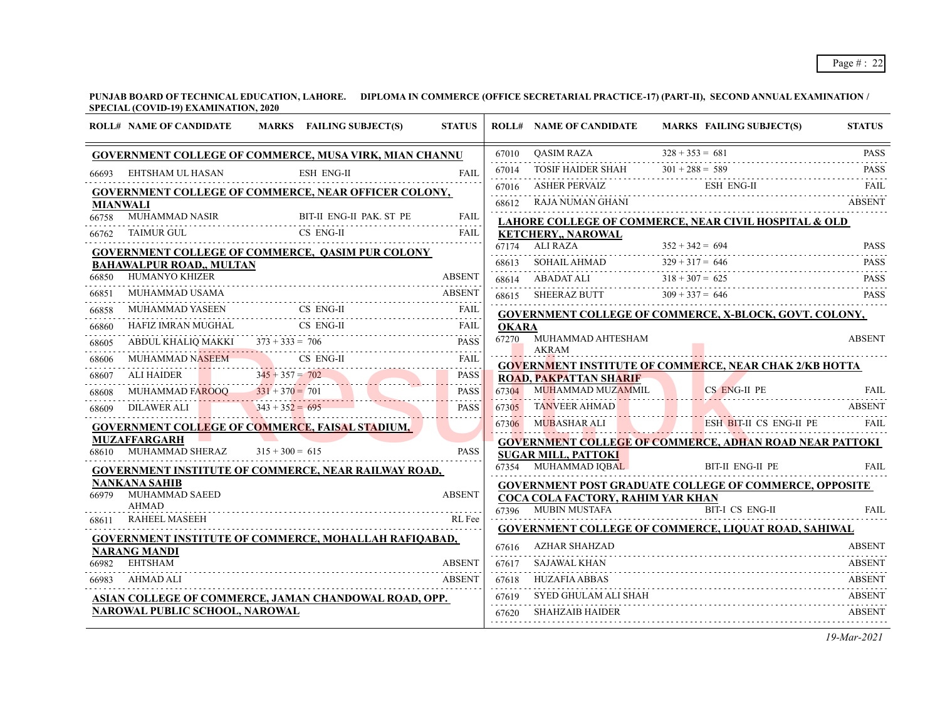|                 | <b>ROLL# NAME OF CANDIDATE</b>                                                          |                   | MARKS FAILING SUBJECT(S) | <b>STATUS</b> |                       | <b>ROLL# NAME OF CANDIDATE</b>                                                                     |                   | MARKS FAILING SUBJECT(S) | <b>STATUS</b>    |
|-----------------|-----------------------------------------------------------------------------------------|-------------------|--------------------------|---------------|-----------------------|----------------------------------------------------------------------------------------------------|-------------------|--------------------------|------------------|
|                 | <b>GOVERNMENT COLLEGE OF COMMERCE, MUSA VIRK, MIAN CHANNU</b>                           |                   |                          |               | 67010                 | <b>OASIM RAZA</b>                                                                                  | $328 + 353 = 681$ |                          | <b>PASS</b>      |
| 66693           | EHTSHAM UL HASAN                                                                        |                   | <b>ESH ENG-II</b>        | FAIL          | 67014                 | <b>TOSIF HAIDER SHAH</b>                                                                           | $301 + 288 = 589$ |                          | <b>PASS</b>      |
|                 | GOVERNMENT COLLEGE OF COMMERCE, NEAR OFFICER COLONY,                                    |                   |                          |               |                       | 67016 ASHER PERVAIZ                                                                                |                   | ESH ENG-II               | FAIL             |
| <b>MIANWALI</b> |                                                                                         |                   |                          |               | 68612                 | RAJA NUMAN GHANI                                                                                   |                   |                          | <b>ABSENT</b>    |
| 66758           | <b>MUHAMMAD NASIR</b>                                                                   |                   | BIT-II ENG-II PAK. ST PE | <b>FAIL</b>   |                       | LAHORE COLLEGE OF COMMERCE, NEAR CIVIL HOSPITAL & OLD                                              |                   |                          |                  |
| 66762           | TAIMUR GUL                                                                              |                   | CS ENG-II                | FAIL          |                       | <b>KETCHERY,, NAROWAL</b>                                                                          |                   |                          |                  |
|                 | <b>GOVERNMENT COLLEGE OF COMMERCE, QASIM PUR COLONY</b>                                 |                   |                          |               |                       | $67174$ ALI RAZA                                                                                   | $352 + 342 = 694$ |                          | <b>PASS</b>      |
|                 | <b>BAHAWALPUR ROAD,, MULTAN</b>                                                         |                   |                          |               | 68613                 | $SOHAIL AHMAD$                                                                                     | $329 + 317 = 646$ |                          | <b>PASS</b>      |
| 66850           | HUMANYO KHIZER                                                                          |                   |                          | <b>ABSENT</b> |                       | 68614 ABADAT ALI                                                                                   | $318 + 307 = 625$ |                          | <b>PASS</b><br>. |
| 66851           | MUHAMMAD USAMA                                                                          |                   |                          | <b>ABSENT</b> |                       | 68615 SHEERAZ BUTT                                                                                 | $309 + 337 = 646$ |                          | <b>PASS</b>      |
| 66858           | MUHAMMAD YASEEN                                                                         |                   | CS ENG-II                | FAIL          |                       | GOVERNMENT COLLEGE OF COMMERCE, X-BLOCK, GOVT. COLONY,                                             |                   |                          |                  |
| 66860           | HAFIZ IMRAN MUGHAL                                                                      |                   | CS ENG-II                | <b>FAIL</b>   | <b>OKARA</b><br>67270 | MUHAMMAD AHTESHAM                                                                                  |                   |                          | <b>ABSENT</b>    |
| 68605           | ABDUL KHALIQ MAKKI $373 + 333 = 706$                                                    |                   |                          | <b>PASS</b>   |                       | <b>AKRAM</b>                                                                                       |                   |                          |                  |
| 68606           | MUHAMMAD NASEEM                                                                         |                   | CS ENG-II                | <b>FAIL</b>   |                       | <b>GOVERNMENT INSTITUTE OF COMMERCE, NEAR CHAK 2/KB HOTTA</b>                                      |                   |                          |                  |
| 68607           | ALI HAIDER                                                                              | $345 + 357 = 702$ |                          | <b>PASS</b>   |                       | <b>ROAD, PAKPATTAN SHARIF</b>                                                                      |                   |                          |                  |
| 68608           | MUHAMMAD FAROOO $331 + 370 = 701$                                                       |                   |                          | <b>PASS</b>   | 67304                 | MUHAMMAD MUZAMMIL                                                                                  |                   | CS ENG-II PE             | FAII.            |
| 68609           | <b>DILAWER ALI</b>                                                                      | $343 + 352 = 695$ |                          | <b>PASS</b>   |                       | 67305 TANVEER AHMAD                                                                                |                   |                          | <b>ABSENT</b>    |
|                 | <b>GOVERNMENT COLLEGE OF COMMERCE, FAISAL STADIUM,</b>                                  |                   |                          |               |                       | 67306 MUBASHAR ALI                                                                                 |                   | ESH BIT-II CS ENG-II PE  | FAIL             |
| 68610           | <b>MUZAFFARGARH</b><br>MUHAMMAD SHERAZ $315 + 300 = 615$                                |                   |                          | <b>PASS</b>   |                       | <b>GOVERNMENT COLLEGE OF COMMERCE, ADHAN ROAD NEAR PATTOKI</b>                                     |                   |                          |                  |
|                 |                                                                                         |                   |                          |               |                       | <b>SUGAR MILL, PATTOKI</b><br>67354 MUHAMMAD IQBAL                                                 |                   | BIT-II ENG-II PE         | <b>FAIL</b>      |
|                 | <b>GOVERNMENT INSTITUTE OF COMMERCE, NEAR RAILWAY ROAD,</b><br><b>NANKANA SAHIB</b>     |                   |                          |               |                       |                                                                                                    |                   |                          |                  |
| 66979           | MUHAMMAD SAEED                                                                          |                   |                          | <b>ABSENT</b> |                       | <b>GOVERNMENT POST GRADUATE COLLEGE OF COMMERCE, OPPOSITE</b><br>COCA COLA FACTORY, RAHIM YAR KHAN |                   |                          |                  |
|                 | <b>AHMAD</b>                                                                            |                   |                          |               |                       | 67396 MUBIN MUSTAFA                                                                                |                   | <b>BIT-I CS ENG-II</b>   | FAIL.            |
| 68611           | <b>RAHEEL MASEEH</b>                                                                    |                   |                          | RL Fee        |                       | <b>GOVERNMENT COLLEGE OF COMMERCE, LIQUAT ROAD, SAHIWAL</b>                                        |                   |                          |                  |
|                 | <b>GOVERNMENT INSTITUTE OF COMMERCE, MOHALLAH RAFIQABAD,</b>                            |                   |                          |               | 67616                 | AZHAR SHAHZAD                                                                                      |                   |                          | <b>ABSENT</b>    |
| 66982           | <b>NARANG MANDI</b><br>EHTSHAM                                                          |                   |                          | <b>ABSENT</b> | 67617                 | SAJAWAL KHAN                                                                                       |                   |                          | <b>ABSENT</b>    |
| 66983           | AHMAD ALI                                                                               |                   |                          | <b>ABSENT</b> | 67618                 | <b>HUZAFIA ABBAS</b>                                                                               |                   |                          | <b>ABSENT</b>    |
|                 |                                                                                         |                   |                          |               | .<br>67619            | SYED GHULAM ALI SHAH                                                                               |                   |                          | <b>ABSENT</b>    |
|                 | ASIAN COLLEGE OF COMMERCE, JAMAN CHANDOWAL ROAD, OPP.<br>NAROWAL PUBLIC SCHOOL, NAROWAL |                   |                          |               | 67620                 | <b>SHAHZAIB HAIDER</b>                                                                             |                   |                          | <b>ABSENT</b>    |
|                 |                                                                                         |                   |                          |               |                       |                                                                                                    |                   |                          |                  |